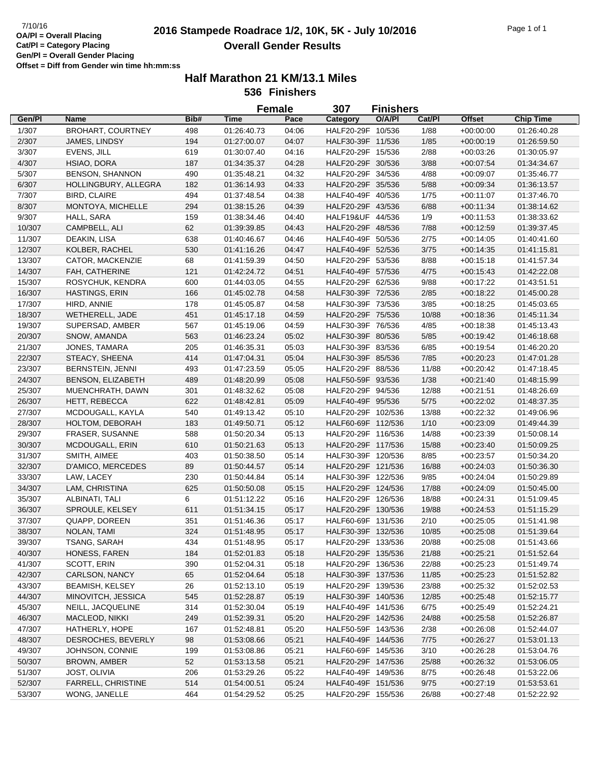|        |                          |      |             | <b>Female</b> | 307                | <b>Finishers</b> |        |               |                  |
|--------|--------------------------|------|-------------|---------------|--------------------|------------------|--------|---------------|------------------|
| Gen/Pl | <b>Name</b>              | Bib# | <b>Time</b> | Pace          | Category           | O/A/PI           | Cat/Pl | <b>Offset</b> | <b>Chip Time</b> |
| 1/307  | <b>BROHART, COURTNEY</b> | 498  | 01:26:40.73 | 04:06         | HALF20-29F 10/536  |                  | 1/88   | $+00:00:00$   | 01:26:40.28      |
| 2/307  | JAMES, LINDSY            | 194  | 01:27:00.07 | 04:07         | HALF30-39F 11/536  |                  | 1/85   | $+00:00:19$   | 01:26:59.50      |
| 3/307  | EVENS, JILL              | 619  | 01:30:07.40 | 04:16         | HALF20-29F 15/536  |                  | 2/88   | $+00:03:26$   | 01:30:05.97      |
| 4/307  | HSIAO, DORA              | 187  | 01:34:35.37 | 04:28         | HALF20-29F 30/536  |                  | 3/88   | $+00:07:54$   | 01:34:34.67      |
| 5/307  | <b>BENSON, SHANNON</b>   | 490  | 01:35:48.21 | 04:32         | HALF20-29F 34/536  |                  | 4/88   | $+00:09:07$   | 01:35:46.77      |
| 6/307  | HOLLINGBURY, ALLEGRA     | 182  | 01:36:14.93 | 04:33         | HALF20-29F 35/536  |                  | 5/88   | $+00:09:34$   | 01:36:13.57      |
| 7/307  | <b>BIRD, CLAIRE</b>      | 494  | 01:37:48.54 | 04:38         | HALF40-49F 40/536  |                  | 1/75   | $+00:11:07$   | 01:37:46.70      |
| 8/307  | MONTOYA, MICHELLE        | 294  | 01:38:15.26 | 04:39         | HALF20-29F 43/536  |                  | 6/88   | $+00:11:34$   | 01:38:14.62      |
| 9/307  | HALL, SARA               | 159  | 01:38:34.46 | 04:40         | HALF19&UF 44/536   |                  | 1/9    | $+00:11:53$   | 01:38:33.62      |
| 10/307 | CAMPBELL, ALI            | 62   | 01:39:39.85 | 04:43         | HALF20-29F 48/536  |                  | 7/88   | $+00:12:59$   | 01:39:37.45      |
| 11/307 | DEAKIN, LISA             | 638  | 01:40:46.67 | 04:46         | HALF40-49F 50/536  |                  | 2/75   | $+00:14:05$   | 01:40:41.60      |
| 12/307 | KOLBER, RACHEL           | 530  | 01:41:16.26 | 04:47         | HALF40-49F 52/536  |                  | 3/75   | $+00:14:35$   | 01:41:15.81      |
|        |                          |      |             |               |                    |                  |        |               |                  |
| 13/307 | CATOR, MACKENZIE         | 68   | 01:41:59.39 | 04:50         | HALF20-29F 53/536  |                  | 8/88   | $+00:15:18$   | 01:41:57.34      |
| 14/307 | FAH, CATHERINE           | 121  | 01:42:24.72 | 04:51         | HALF40-49F 57/536  |                  | 4/75   | $+00.15:43$   | 01:42:22.08      |
| 15/307 | ROSYCHUK, KENDRA         | 600  | 01:44:03.05 | 04:55         | HALF20-29F 62/536  |                  | 9/88   | $+00:17:22$   | 01:43:51.51      |
| 16/307 | HASTINGS, ERIN           | 166  | 01:45:02.78 | 04:58         | HALF30-39F 72/536  |                  | 2/85   | $+00:18:22$   | 01:45:00.28      |
| 17/307 | HIRD, ANNIE              | 178  | 01:45:05.87 | 04:58         | HALF30-39F 73/536  |                  | 3/85   | $+00:18:25$   | 01:45:03.65      |
| 18/307 | WETHERELL, JADE          | 451  | 01:45:17.18 | 04:59         | HALF20-29F 75/536  |                  | 10/88  | $+00:18:36$   | 01:45:11.34      |
| 19/307 | SUPERSAD, AMBER          | 567  | 01:45:19.06 | 04:59         | HALF30-39F 76/536  |                  | 4/85   | $+00:18:38$   | 01:45:13.43      |
| 20/307 | SNOW, AMANDA             | 563  | 01:46:23.24 | 05:02         | HALF30-39F 80/536  |                  | 5/85   | $+00:19:42$   | 01:46:18.68      |
| 21/307 | JONES, TAMARA            | 205  | 01:46:35.31 | 05:03         | HALF30-39F 83/536  |                  | 6/85   | $+00:19:54$   | 01:46:20.20      |
| 22/307 | STEACY, SHEENA           | 414  | 01:47:04.31 | 05:04         | HALF30-39F 85/536  |                  | 7/85   | $+00:20:23$   | 01:47:01.28      |
| 23/307 | BERNSTEIN, JENNI         | 493  | 01:47:23.59 | 05:05         | HALF20-29F 88/536  |                  | 11/88  | $+00:20:42$   | 01:47:18.45      |
| 24/307 | BENSON, ELIZABETH        | 489  | 01:48:20.99 | 05:08         | HALF50-59F 93/536  |                  | 1/38   | $+00:21:40$   | 01:48:15.99      |
| 25/307 | MUENCHRATH, DAWN         | 301  | 01:48:32.62 | 05:08         | HALF20-29F 94/536  |                  | 12/88  | $+00:21:51$   | 01:48:26.69      |
| 26/307 | HETT, REBECCA            | 622  | 01:48:42.81 | 05:09         | HALF40-49F 95/536  |                  | $5/75$ | $+00:22:02$   | 01:48:37.35      |
| 27/307 | MCDOUGALL, KAYLA         | 540  | 01:49:13.42 | 05:10         | HALF20-29F 102/536 |                  | 13/88  | $+00:22:32$   | 01:49:06.96      |
| 28/307 | HOLTOM, DEBORAH          | 183  | 01:49:50.71 | 05:12         | HALF60-69F 112/536 |                  | 1/10   | $+00:23:09$   | 01:49:44.39      |
| 29/307 | FRASER, SUSANNE          | 588  | 01:50:20.34 | 05:13         | HALF20-29F 116/536 |                  | 14/88  | $+00:23:39$   | 01:50:08.14      |
| 30/307 | MCDOUGALL, ERIN          | 610  | 01:50:21.63 | 05:13         | HALF20-29F 117/536 |                  | 15/88  | $+00:23:40$   | 01:50:09.25      |
| 31/307 | SMITH, AIMEE             | 403  | 01:50:38.50 | 05:14         | HALF30-39F 120/536 |                  | 8/85   | $+00:23:57$   | 01:50:34.20      |
| 32/307 | D'AMICO, MERCEDES        | 89   | 01:50:44.57 | 05:14         | HALF20-29F 121/536 |                  | 16/88  | $+00:24:03$   | 01:50:36.30      |
| 33/307 | LAW, LACEY               | 230  | 01:50:44.84 | 05:14         | HALF30-39F 122/536 |                  | 9/85   | $+00:24:04$   | 01:50:29.89      |
| 34/307 | LAM, CHRISTINA           | 625  | 01:50:50.08 | 05:15         | HALF20-29F 124/536 |                  | 17/88  | $+00:24:09$   | 01:50:45.00      |
| 35/307 | ALBINATI, TALI           | 6    | 01:51:12.22 | 05:16         | HALF20-29F 126/536 |                  | 18/88  | $+00:24:31$   | 01:51:09.45      |
| 36/307 | SPROULE, KELSEY          | 611  | 01:51:34.15 | 05:17         | HALF20-29F 130/536 |                  | 19/88  | $+00:24:53$   | 01:51:15.29      |
| 37/307 | QUAPP, DOREEN            | 351  | 01:51:46.36 | 05:17         | HALF60-69F 131/536 |                  | 2/10   | $+00:25:05$   | 01:51:41.98      |
| 38/307 | NOLAN, TAMI              | 324  | 01:51:48.95 | 05:17         | HALF30-39F 132/536 |                  | 10/85  | $+00:25:08$   | 01:51:39.64      |
| 39/307 | TSANG, SARAH             | 434  | 01:51:48.95 | 05:17         | HALF20-29F 133/536 |                  | 20/88  | $+00:25:08$   | 01:51:43.66      |
| 40/307 | HONESS, FAREN            | 184  | 01:52:01.83 | 05:18         | HALF20-29F 135/536 |                  | 21/88  | $+00:25:21$   | 01:51:52.64      |
| 41/307 | SCOTT, ERIN              | 390  | 01:52:04.31 | 05:18         | HALF20-29F 136/536 |                  | 22/88  | $+00:25:23$   | 01:51:49.74      |
| 42/307 | CARLSON, NANCY           |      |             | 05:18         |                    |                  | 11/85  |               |                  |
|        |                          | 65   | 01:52:04.64 |               | HALF30-39F 137/536 |                  |        | $+00:25:23$   | 01:51:52.82      |
| 43/307 | <b>BEAMISH, KELSEY</b>   | 26   | 01:52:13.10 | 05:19         | HALF20-29F 139/536 |                  | 23/88  | $+00:25:32$   | 01:52:02.53      |
| 44/307 | MINOVITCH, JESSICA       | 545  | 01:52:28.87 | 05:19         | HALF30-39F 140/536 |                  | 12/85  | $+00:25:48$   | 01:52:15.77      |
| 45/307 | NEILL, JACQUELINE        | 314  | 01:52:30.04 | 05:19         | HALF40-49F 141/536 |                  | 6/75   | $+00:25:49$   | 01:52:24.21      |
| 46/307 | MACLEOD, NIKKI           | 249  | 01:52:39.31 | 05:20         | HALF20-29F 142/536 |                  | 24/88  | $+00:25:58$   | 01:52:26.87      |
| 47/307 | HATHERLY, HOPE           | 167  | 01:52:48.81 | 05:20         | HALF50-59F 143/536 |                  | 2/38   | $+00:26:08$   | 01:52:44.07      |
| 48/307 | DESROCHES, BEVERLY       | 98   | 01:53:08.66 | 05:21         | HALF40-49F 144/536 |                  | 7/75   | $+00:26:27$   | 01:53:01.13      |
| 49/307 | <b>JOHNSON, CONNIE</b>   | 199  | 01:53:08.86 | 05:21         | HALF60-69F 145/536 |                  | 3/10   | $+00:26:28$   | 01:53:04.76      |
| 50/307 | BROWN, AMBER             | 52   | 01:53:13.58 | 05:21         | HALF20-29F 147/536 |                  | 25/88  | $+00.26.32$   | 01:53:06.05      |
| 51/307 | <b>JOST, OLIVIA</b>      | 206  | 01:53:29.26 | 05:22         | HALF40-49F 149/536 |                  | 8/75   | $+00.26:48$   | 01:53:22.06      |
| 52/307 | FARRELL, CHRISTINE       | 514  | 01:54:00.51 | 05:24         | HALF40-49F 151/536 |                  | 9/75   | $+00:27:19$   | 01:53:53.61      |
| 53/307 | WONG, JANELLE            | 464  | 01:54:29.52 | 05:25         | HALF20-29F 155/536 |                  | 26/88  | $+00.27:48$   | 01:52:22.92      |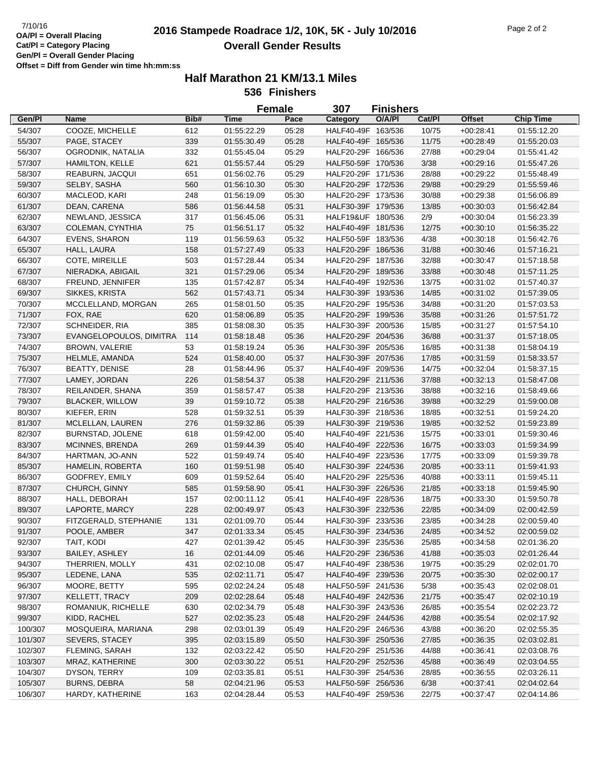|                  |                                 |        |             | <b>Female</b> | 307                                      | <b>Finishers</b> |        |               |                            |
|------------------|---------------------------------|--------|-------------|---------------|------------------------------------------|------------------|--------|---------------|----------------------------|
| Gen/Pl           | <b>Name</b>                     | Bib#   | <b>Time</b> | Pace          | Category                                 | O/A/PI           | Cat/Pl | <b>Offset</b> | <b>Chip Time</b>           |
| 54/307           | COOZE, MICHELLE                 | 612    | 01:55:22.29 | 05:28         | HALF40-49F 163/536                       |                  | 10/75  | $+00:28:41$   | 01:55:12.20                |
| 55/307           | PAGE, STACEY                    | 339    | 01:55:30.49 | 05:28         | HALF40-49F 165/536                       |                  | 11/75  | $+00:28:49$   | 01:55:20.03                |
| 56/307           | OGRODNIK, NATALIA               | 332    | 01:55:45.04 | 05:29         | HALF20-29F 166/536                       |                  | 27/88  | $+00:29:04$   | 01:55:41.42                |
| 57/307           | HAMILTON, KELLE                 | 621    | 01:55:57.44 | 05:29         | HALF50-59F 170/536                       |                  | 3/38   | $+00:29:16$   | 01:55:47.26                |
| 58/307           | REABURN, JACQUI                 | 651    | 01:56:02.76 | 05:29         | HALF20-29F 171/536                       |                  | 28/88  | $+00:29:22$   | 01:55:48.49                |
| 59/307           | SELBY, SASHA                    | 560    | 01:56:10.30 | 05:30         | HALF20-29F 172/536                       |                  | 29/88  | $+00:29:29$   | 01:55:59.46                |
| 60/307           | MACLEOD, KARI                   | 248    | 01:56:19.09 | 05:30         | HALF20-29F 173/536                       |                  | 30/88  | $+00:29:38$   | 01:56:06.89                |
| 61/307           | DEAN, CARENA                    | 586    | 01:56:44.58 | 05:31         | HALF30-39F 179/536                       |                  | 13/85  | $+00:30:03$   | 01:56:42.84                |
| 62/307           | NEWLAND, JESSICA                | 317    | 01:56:45.06 | 05:31         | HALF19&UF 180/536                        |                  | 2/9    | $+00:30:04$   | 01:56:23.39                |
| 63/307           | COLEMAN, CYNTHIA                | 75     | 01:56:51.17 | 05:32         | HALF40-49F 181/536                       |                  | 12/75  | $+00:30:10$   | 01:56:35.22                |
| 64/307           | EVENS, SHARON                   | 119    | 01:56:59.63 | 05:32         | HALF50-59F 183/536                       |                  | 4/38   | $+00:30:18$   | 01:56:42.76                |
| 65/307           | HALL, LAURA                     | 158    | 01:57:27.49 | 05:33         | HALF20-29F 186/536                       |                  | 31/88  | $+00:30:46$   | 01:57:16.21                |
| 66/307           | COTE, MIREILLE                  | 503    | 01:57:28.44 | 05:34         | HALF20-29F 187/536                       |                  | 32/88  | $+00:30:47$   | 01:57:18.58                |
| 67/307           | NIERADKA, ABIGAIL               | 321    | 01:57:29.06 | 05:34         | HALF20-29F 189/536                       |                  | 33/88  | $+00:30:48$   | 01:57:11.25                |
| 68/307           | FREUND, JENNIFER                | 135    | 01:57:42.87 | 05:34         | HALF40-49F 192/536                       |                  | 13/75  | $+00:31:02$   | 01:57:40.37                |
| 69/307           | SIKKES, KRISTA                  | 562    | 01:57:43.71 | 05:34         | HALF30-39F 193/536                       |                  | 14/85  | $+00:31:02$   | 01:57:39.05                |
| 70/307           | MCCLELLAND, MORGAN              | 265    | 01:58:01.50 | 05:35         | HALF20-29F 195/536                       |                  | 34/88  | $+00:31:20$   | 01:57:03.53                |
| 71/307           | FOX, RAE                        | 620    | 01:58:06.89 | 05:35         | HALF20-29F 199/536                       |                  | 35/88  | $+00:31:26$   | 01:57:51.72                |
| 72/307           | SCHNEIDER, RIA                  | 385    | 01:58:08.30 | 05:35         | HALF30-39F 200/536                       |                  | 15/85  | $+00:31:27$   | 01:57:54.10                |
| 73/307           | EVANGELOPOULOS, DIMITRA         | 114    | 01:58:18.48 | 05:36         | HALF20-29F 204/536                       |                  | 36/88  | $+00:31:37$   | 01:57:18.05                |
| 74/307           | BROWN, VALERIE                  | 53     | 01:58:19.24 | 05:36         | HALF30-39F 205/536                       |                  | 16/85  | $+00:31:38$   | 01:58:04.19                |
| 75/307           | HELMLE, AMANDA                  | 524    | 01:58:40.00 | 05:37         | HALF30-39F 207/536                       |                  | 17/85  | $+00:31:59$   | 01:58:33.57                |
| 76/307           | <b>BEATTY, DENISE</b>           | 28     | 01:58:44.96 | 05:37         | HALF40-49F 209/536                       |                  | 14/75  | $+00:32:04$   | 01:58:37.15                |
| 77/307           | LAMEY, JORDAN                   | 226    | 01:58:54.37 | 05:38         | HALF20-29F 211/536                       |                  | 37/88  | $+00:32:13$   | 01:58:47.08                |
| 78/307           | REILANDER, SHANA                | 359    | 01:58:57.47 | 05:38         | HALF20-29F 213/536                       |                  | 38/88  | $+00:32:16$   | 01:58:49.66                |
| 79/307           | <b>BLACKER, WILLOW</b>          | 39     | 01:59:10.72 | 05:38         | HALF20-29F 216/536                       |                  | 39/88  | $+00:32:29$   | 01:59:00.08                |
| 80/307           | KIEFER, ERIN                    | 528    | 01:59:32.51 | 05:39         | HALF30-39F 218/536                       |                  | 18/85  | $+00:32:51$   | 01:59:24.20                |
| 81/307           | MCLELLAN, LAUREN                | 276    | 01:59:32.86 | 05:39         | HALF30-39F 219/536                       |                  | 19/85  | $+00:32:52$   | 01:59:23.89                |
| 82/307           | BURNSTAD, JOLENE                | 618    | 01:59:42.00 | 05:40         | HALF40-49F 221/536                       |                  | 15/75  | $+00:33:01$   | 01:59:30.46                |
| 83/307           | MCINNES, BRENDA                 | 269    | 01:59:44.39 | 05:40         | HALF40-49F 222/536                       |                  | 16/75  | $+00:33:03$   | 01:59:34.99                |
| 84/307           | HARTMAN, JO-ANN                 | 522    | 01:59:49.74 | 05:40         | HALF40-49F 223/536                       |                  | 17/75  | $+00:33:09$   | 01:59:39.78                |
| 85/307           | HAMELIN, ROBERTA                | 160    | 01:59:51.98 | 05:40         | HALF30-39F 224/536                       |                  | 20/85  | $+00:33:11$   | 01:59:41.93                |
| 86/307           | GODFREY, EMILY                  | 609    | 01:59:52.64 | 05:40         | HALF20-29F 225/536                       |                  | 40/88  | $+00:33:11$   | 01:59:45.11                |
| 87/307           | CHURCH, GINNY                   | 585    | 01:59:58.90 | 05:41         | HALF30-39F 226/536                       |                  | 21/85  | $+00:33:18$   | 01:59:45.90                |
| 88/307           | HALL, DEBORAH                   | 157    | 02:00:11.12 | 05:41         | HALF40-49F 228/536                       |                  | 18/75  | $+00:33:30$   |                            |
|                  | LAPORTE, MARCY                  | 228    | 02:00:49.97 | 05:43         | HALF30-39F 232/536                       |                  | 22/85  | $+00:34:09$   | 01:59:50.78<br>02:00:42.59 |
| 89/307<br>90/307 | FITZGERALD, STEPHANIE           | 131    | 02:01:09.70 | 05:44         | HALF30-39F 233/536                       |                  | 23/85  | $+00:34:28$   |                            |
| 91/307           | POOLE, AMBER                    | 347    | 02:01:33.34 | 05:45         | HALF30-39F 234/536                       |                  | 24/85  | $+00:34:52$   | 02:00:59.40<br>02:00:59.02 |
|                  |                                 |        |             |               |                                          |                  |        |               |                            |
| 92/307           | TAIT, KODI                      | 427    | 02:01:39.42 | 05:45         | HALF30-39F 235/536                       |                  | 25/85  | $+00.34.58$   | 02:01:36.20                |
| 93/307           | BAILEY, ASHLEY                  | $16\,$ | 02:01:44.09 | 05:46         | HALF20-29F 236/536<br>HALF40-49F 238/536 |                  | 41/88  | $+00:35:03$   | 02:01:26.44                |
| 94/307           | THERRIEN, MOLLY<br>LEDENE, LANA | 431    | 02:02:10.08 | 05:47         | HALF40-49F 239/536                       |                  | 19/75  | $+00:35:29$   | 02:02:01.70                |
| 95/307           | MOORE, BETTY                    | 535    | 02:02:11.71 | 05:47         |                                          |                  | 20/75  | $+00:35:30$   | 02:02:00.17                |
| 96/307           |                                 | 595    | 02:02:24.24 | 05:48         | HALF50-59F 241/536                       |                  | 5/38   | $+00.35:43$   | 02:02:08.01                |
| 97/307           | <b>KELLETT, TRACY</b>           | 209    | 02:02:28.64 | 05:48         | HALF40-49F 242/536                       |                  | 21/75  | $+00:35:47$   | 02:02:10.19                |
| 98/307           | ROMANIUK, RICHELLE              | 630    | 02:02:34.79 | 05:48         | HALF30-39F 243/536                       |                  | 26/85  | $+00.35.54$   | 02:02:23.72                |
| 99/307           | KIDD, RACHEL                    | 527    | 02:02:35.23 | 05:48         | HALF20-29F 244/536                       |                  | 42/88  | $+00:35:54$   | 02:02:17.92                |
| 100/307          | MOSQUEIRA, MARIANA              | 298    | 02:03:01.39 | 05:49         | HALF20-29F 246/536                       |                  | 43/88  | $+00.36:20$   | 02:02:55.35                |
| 101/307          | <b>SEVERS, STACEY</b>           | 395    | 02:03:15.89 | 05:50         | HALF30-39F 250/536                       |                  | 27/85  | $+00.36.35$   | 02:03:02.81                |
| 102/307          | FLEMING, SARAH                  | 132    | 02:03:22.42 | 05:50         | HALF20-29F 251/536                       |                  | 44/88  | $+00:36:41$   | 02:03:08.76                |
| 103/307          | MRAZ, KATHERINE                 | 300    | 02:03:30.22 | 05:51         | HALF20-29F 252/536                       |                  | 45/88  | $+00:36:49$   | 02:03:04.55                |
| 104/307          | DYSON, TERRY                    | 109    | 02:03:35.81 | 05:51         | HALF30-39F 254/536                       |                  | 28/85  | $+00.36.55$   | 02:03:26.11                |
| 105/307          | <b>BURNS, DEBRA</b>             | 58     | 02:04:21.96 | 05:53         | HALF50-59F 256/536                       |                  | 6/38   | $+00:37:41$   | 02:04:02.64                |
| 106/307          | HARDY, KATHERINE                | 163    | 02:04:28.44 | 05:53         | HALF40-49F 259/536                       |                  | 22/75  | $+00:37:47$   | 02:04:14.86                |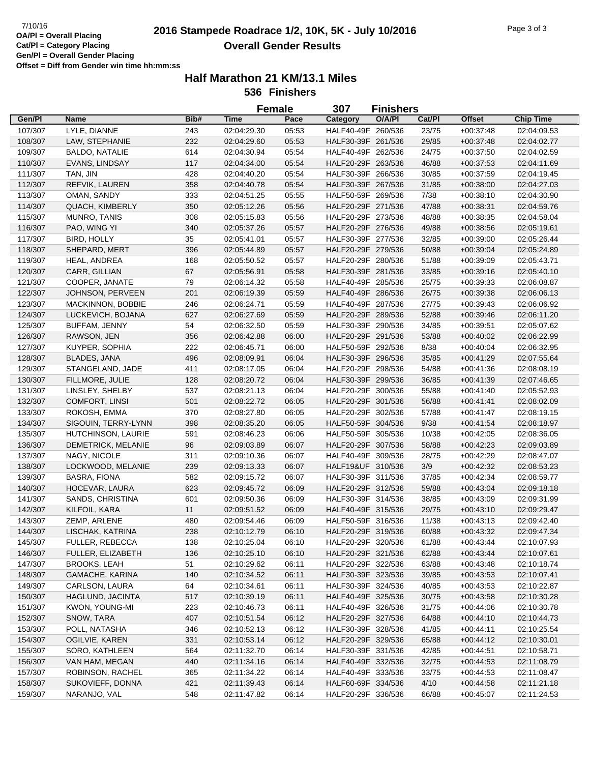|                    |                              |      |             | <b>Female</b> | 307                                      | <b>Finishers</b> |        |               |                  |
|--------------------|------------------------------|------|-------------|---------------|------------------------------------------|------------------|--------|---------------|------------------|
| Gen/Pl             | Name                         | Bib# | <b>Time</b> | Pace          | Category                                 | O/A/PI           | Cat/Pl | <b>Offset</b> | <b>Chip Time</b> |
| 107/307            | LYLE, DIANNE                 | 243  | 02:04:29.30 | 05:53         | HALF40-49F 260/536                       |                  | 23/75  | $+00:37:48$   | 02:04:09.53      |
| 108/307            | LAW, STEPHANIE               | 232  | 02:04:29.60 | 05:53         | HALF30-39F 261/536                       |                  | 29/85  | $+00:37:48$   | 02:04:02.77      |
| 109/307            | <b>BALDO, NATALIE</b>        | 614  | 02:04:30.94 | 05:54         | HALF40-49F 262/536                       |                  | 24/75  | $+00:37:50$   | 02:04:02.59      |
| 110/307            | <b>EVANS, LINDSAY</b>        | 117  | 02:04:34.00 | 05:54         | HALF20-29F 263/536                       |                  | 46/88  | $+00:37:53$   | 02:04:11.69      |
| 111/307            | TAN, JIN                     | 428  | 02:04:40.20 | 05:54         | HALF30-39F 266/536                       |                  | 30/85  | $+00:37:59$   | 02:04:19.45      |
| 112/307            | REFVIK, LAUREN               | 358  | 02:04:40.78 | 05:54         | HALF30-39F 267/536                       |                  | 31/85  | $+00:38:00$   | 02:04:27.03      |
| 113/307            | OMAN, SANDY                  | 333  | 02:04:51.25 | 05:55         | HALF50-59F 269/536                       |                  | 7/38   | $+00:38:10$   | 02:04:30.90      |
| 114/307            | <b>QUACH, KIMBERLY</b>       | 350  | 02:05:12.26 | 05:56         | HALF20-29F 271/536                       |                  | 47/88  | $+00:38:31$   | 02:04:59.76      |
| 115/307            | MUNRO, TANIS                 | 308  | 02:05:15.83 | 05:56         | HALF20-29F 273/536                       |                  | 48/88  | $+00:38:35$   | 02:04:58.04      |
| 116/307            | PAO, WING YI                 | 340  | 02:05:37.26 | 05:57         | HALF20-29F 276/536                       |                  | 49/88  | $+00:38:56$   | 02:05:19.61      |
| 117/307            | <b>BIRD, HOLLY</b>           | 35   | 02:05:41.01 | 05:57         | HALF30-39F 277/536                       |                  | 32/85  | $+00:39:00$   | 02:05:26.44      |
| 118/307            | SHEPARD, MERT                | 396  | 02:05:44.89 | 05:57         | HALF20-29F 279/536                       |                  | 50/88  | $+00:39:04$   | 02:05:24.89      |
| 119/307            | HEAL, ANDREA                 | 168  | 02:05:50.52 | 05:57         | HALF20-29F 280/536                       |                  | 51/88  | $+00:39:09$   | 02:05:43.71      |
| 120/307            | CARR, GILLIAN                | 67   | 02:05:56.91 | 05:58         | HALF30-39F 281/536                       |                  | 33/85  | $+00:39:16$   | 02:05:40.10      |
| 121/307            | COOPER, JANATE               | 79   | 02:06:14.32 | 05:58         | HALF40-49F 285/536                       |                  | 25/75  | $+00:39:33$   | 02:06:08.87      |
| 122/307            | JOHNSON, PERVEEN             | 201  | 02:06:19.39 | 05:59         | HALF40-49F 286/536                       |                  | 26/75  | $+00:39:38$   | 02:06:06.13      |
| 123/307            | <b>MACKINNON, BOBBIE</b>     | 246  | 02:06:24.71 | 05:59         | HALF40-49F 287/536                       |                  | 27/75  | $+00:39:43$   | 02:06:06.92      |
| 124/307            | LUCKEVICH, BOJANA            | 627  | 02:06:27.69 | 05:59         | HALF20-29F 289/536                       |                  | 52/88  | $+00:39:46$   | 02:06:11.20      |
|                    |                              |      |             |               |                                          |                  |        |               |                  |
| 125/307<br>126/307 | BUFFAM, JENNY<br>RAWSON, JEN | 54   | 02:06:32.50 | 05:59         | HALF30-39F 290/536<br>HALF20-29F 291/536 |                  | 34/85  | $+00.39.51$   | 02:05:07.62      |
|                    |                              | 356  | 02:06:42.88 | 06:00         |                                          |                  | 53/88  | $+00:40:02$   | 02:06:22.99      |
| 127/307            | KUYPER, SOPHIA               | 222  | 02:06:45.71 | 06:00         | HALF50-59F 292/536                       |                  | 8/38   | $+00:40:04$   | 02:06:32.95      |
| 128/307            | <b>BLADES, JANA</b>          | 496  | 02:08:09.91 | 06:04         | HALF30-39F 296/536                       |                  | 35/85  | $+00:41:29$   | 02:07:55.64      |
| 129/307            | STANGELAND, JADE             | 411  | 02:08:17.05 | 06:04         | HALF20-29F 298/536                       |                  | 54/88  | $+00:41:36$   | 02:08:08.19      |
| 130/307            | FILLMORE, JULIE              | 128  | 02:08:20.72 | 06:04         | HALF30-39F 299/536                       |                  | 36/85  | $+00:41:39$   | 02:07:46.65      |
| 131/307            | LINSLEY, SHELBY              | 537  | 02:08:21.13 | 06:04         | HALF20-29F 300/536                       |                  | 55/88  | $+00:41:40$   | 02:05:52.93      |
| 132/307            | <b>COMFORT, LINSI</b>        | 501  | 02:08:22.72 | 06:05         | HALF20-29F 301/536                       |                  | 56/88  | $+00:41:41$   | 02:08:02.09      |
| 133/307            | ROKOSH, EMMA                 | 370  | 02:08:27.80 | 06:05         | HALF20-29F 302/536                       |                  | 57/88  | $+00:41:47$   | 02:08:19.15      |
| 134/307            | SIGOUIN, TERRY-LYNN          | 398  | 02:08:35.20 | 06:05         | HALF50-59F 304/536                       |                  | 9/38   | $+00:41:54$   | 02:08:18.97      |
| 135/307            | HUTCHINSON, LAURIE           | 591  | 02:08:46.23 | 06:06         | HALF50-59F 305/536                       |                  | 10/38  | $+00:42:05$   | 02:08:36.05      |
| 136/307            | DEMETRICK, MELANIE           | 96   | 02:09:03.89 | 06:07         | HALF20-29F 307/536                       |                  | 58/88  | $+00:42:23$   | 02:09:03.89      |
| 137/307            | NAGY, NICOLE                 | 311  | 02:09:10.36 | 06:07         | HALF40-49F 309/536                       |                  | 28/75  | $+00:42:29$   | 02:08:47.07      |
| 138/307            | LOCKWOOD, MELANIE            | 239  | 02:09:13.33 | 06:07         | HALF19&UF 310/536                        |                  | 3/9    | $+00:42:32$   | 02:08:53.23      |
| 139/307            | <b>BASRA, FIONA</b>          | 582  | 02:09:15.72 | 06:07         | HALF30-39F 311/536                       |                  | 37/85  | $+00:42:34$   | 02:08:59.77      |
| 140/307            | HOCEVAR, LAURA               | 623  | 02:09:45.72 | 06:09         | HALF20-29F 312/536                       |                  | 59/88  | $+00:43:04$   | 02:09:18.18      |
| 141/307            | SANDS, CHRISTINA             | 601  | 02:09:50.36 | 06:09         | HALF30-39F 314/536                       |                  | 38/85  | $+00:43:09$   | 02:09:31.99      |
| 142/307            | KILFOIL, KARA                | 11   | 02:09:51.52 | 06:09         | HALF40-49F 315/536                       |                  | 29/75  | $+00:43:10$   | 02:09:29.47      |
| 143/307            | ZEMP, ARLENE                 | 480  | 02:09:54.46 | 06:09         | HALF50-59F 316/536                       |                  | 11/38  | $+00:43:13$   | 02:09:42.40      |
| 144/307            | LISCHAK, KATRINA             | 238  | 02:10:12.79 | 06:10         | HALF20-29F 319/536                       |                  | 60/88  | $+00:43:32$   | 02:09:47.34      |
| 145/307            | FULLER, REBECCA              | 138  | 02:10:25.04 | 06:10         | HALF20-29F 320/536                       |                  | 61/88  | $+00:43:44$   | 02:10:07.93      |
| 146/307            | FULLER, ELIZABETH            | 136  | 02:10:25.10 | 06:10         | HALF20-29F 321/536                       |                  | 62/88  | $+00.43:44$   | 02:10:07.61      |
| 147/307            | <b>BROOKS, LEAH</b>          | 51   | 02:10:29.62 | 06:11         | HALF20-29F 322/536                       |                  | 63/88  | $+00:43:48$   | 02:10:18.74      |
| 148/307            | GAMACHE, KARINA              | 140  | 02:10:34.52 | 06:11         | HALF30-39F 323/536                       |                  | 39/85  | $+00:43:53$   | 02:10:07.41      |
| 149/307            | CARLSON, LAURA               | 64   | 02:10:34.61 | 06:11         | HALF30-39F 324/536                       |                  | 40/85  | $+00:43:53$   | 02:10:22.87      |
| 150/307            | HAGLUND, JACINTA             | 517  | 02:10:39.19 | 06:11         | HALF40-49F 325/536                       |                  | 30/75  | $+00.43.58$   | 02:10:30.28      |
| 151/307            | KWON, YOUNG-MI               | 223  | 02:10:46.73 | 06:11         | HALF40-49F 326/536                       |                  | 31/75  | $+00:44:06$   | 02:10:30.78      |
| 152/307            | SNOW, TARA                   | 407  | 02:10:51.54 | 06:12         | HALF20-29F 327/536                       |                  | 64/88  | $+00.44:10$   | 02:10:44.73      |
| 153/307            | POLL, NATASHA                | 346  | 02:10:52.13 | 06:12         | HALF30-39F 328/536                       |                  | 41/85  | $+00:44:11$   | 02:10:25.54      |
| 154/307            | OGILVIE, KAREN               | 331  | 02:10:53.14 | 06:12         | HALF20-29F 329/536                       |                  | 65/88  | $+00:44:12$   | 02:10:30.01      |
| 155/307            | SORO, KATHLEEN               | 564  | 02:11:32.70 | 06:14         | HALF30-39F 331/536                       |                  | 42/85  | $+00:44:51$   | 02:10:58.71      |
| 156/307            | VAN HAM, MEGAN               | 440  | 02:11:34.16 | 06:14         | HALF40-49F 332/536                       |                  | 32/75  | $+00:44:53$   | 02:11:08.79      |
| 157/307            | ROBINSON, RACHEL             | 365  | 02:11:34.22 | 06:14         | HALF40-49F 333/536                       |                  | 33/75  | $+00:44:53$   | 02:11:08.47      |
| 158/307            | SUKOVIEFF, DONNA             | 421  | 02:11:39.43 | 06:14         | HALF60-69F 334/536                       |                  | 4/10   | $+00.44.58$   | 02:11:21.18      |
| 159/307            | NARANJO, VAL                 | 548  | 02:11:47.82 | 06:14         | HALF20-29F 336/536                       |                  | 66/88  | $+00:45:07$   | 02:11:24.53      |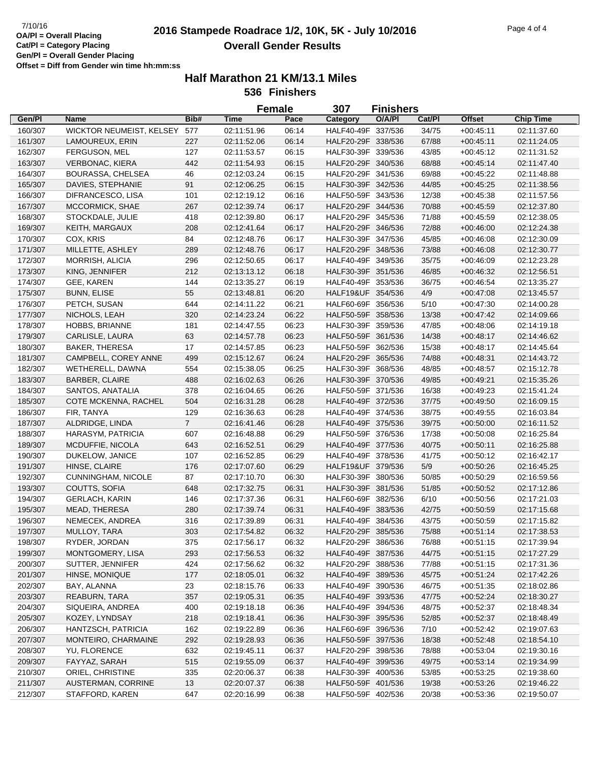|         | <b>Female</b>                   |             | 307<br><b>Finishers</b>    |       |                                          |        |        |                            |                            |
|---------|---------------------------------|-------------|----------------------------|-------|------------------------------------------|--------|--------|----------------------------|----------------------------|
| Gen/Pl  | Name                            | Bib#        | <b>Time</b>                | Pace  | Category                                 | O/A/PI | Cat/Pl | <b>Offset</b>              | <b>Chip Time</b>           |
| 160/307 | WICKTOR NEUMEIST, KELSEY        | 577         | 02:11:51.96                | 06:14 | HALF40-49F 337/536                       |        | 34/75  | $+00:45:11$                | 02:11:37.60                |
| 161/307 | LAMOUREUX, ERIN                 | 227         | 02:11:52.06                | 06:14 | HALF20-29F 338/536                       |        | 67/88  | $+00:45:11$                | 02:11:24.05                |
| 162/307 | FERGUSON, MEL                   | 127         | 02:11:53.57                | 06:15 | HALF30-39F 339/536                       |        | 43/85  | $+00:45:12$                | 02:11:31.52                |
| 163/307 | <b>VERBONAC, KIERA</b>          | 442         | 02:11:54.93                | 06:15 | HALF20-29F 340/536                       |        | 68/88  | $+00:45:14$                | 02:11:47.40                |
| 164/307 | BOURASSA, CHELSEA               | 46          | 02:12:03.24                | 06:15 | HALF20-29F 341/536                       |        | 69/88  | $+00:45:22$                | 02:11:48.88                |
| 165/307 | DAVIES, STEPHANIE               | 91          | 02:12:06.25                | 06:15 | HALF30-39F 342/536                       |        | 44/85  | $+00:45:25$                | 02:11:38.56                |
| 166/307 | DIFRANCESCO, LISA               | 101         | 02:12:19.12                | 06:16 | HALF50-59F 343/536                       |        | 12/38  | $+00:45:38$                | 02:11:57.56                |
| 167/307 | MCCORMICK, SHAE                 | 267         | 02:12:39.74                | 06:17 | HALF20-29F 344/536                       |        | 70/88  | $+00:45:59$                | 02:12:37.80                |
| 168/307 | STOCKDALE, JULIE                | 418         | 02:12:39.80                | 06:17 | HALF20-29F 345/536                       |        | 71/88  | $+00:45:59$                | 02:12:38.05                |
| 169/307 | KEITH, MARGAUX                  | 208         | 02:12:41.64                | 06:17 | HALF20-29F 346/536                       |        | 72/88  | $+00:46:00$                | 02:12:24.38                |
| 170/307 | COX, KRIS                       | 84          | 02:12:48.76                | 06:17 | HALF30-39F 347/536                       |        | 45/85  | $+00:46:08$                | 02:12:30.09                |
| 171/307 | MILLETTE, ASHLEY                | 289         | 02:12:48.76                | 06:17 | HALF20-29F 348/536                       |        | 73/88  | $+00:46:08$                | 02:12:30.77                |
| 172/307 | MORRISH, ALICIA                 | 296         | 02:12:50.65                | 06:17 | HALF40-49F 349/536                       |        | 35/75  | $+00:46:09$                | 02:12:23.28                |
| 173/307 | KING, JENNIFER                  | 212         | 02:13:13.12                | 06:18 | HALF30-39F 351/536                       |        | 46/85  | $+00:46:32$                | 02:12:56.51                |
| 174/307 | GEE, KAREN                      | 144         | 02:13:35.27                | 06:19 | HALF40-49F 353/536                       |        | 36/75  | $+00.46:54$                | 02:13:35.27                |
| 175/307 | <b>BUNN, ELISE</b>              | 55          | 02:13:48.81                | 06:20 | HALF19&UF 354/536                        |        | 4/9    | $+00:47:08$                | 02:13:45.57                |
| 176/307 | PETCH, SUSAN                    | 644         | 02:14:11.22                | 06:21 | HALF60-69F 356/536                       |        | 5/10   | $+00:47:30$                | 02:14:00.28                |
| 177/307 | NICHOLS, LEAH                   | 320         | 02:14:23.24                | 06:22 | HALF50-59F 358/536                       |        | 13/38  | $+00:47:42$                | 02:14:09.66                |
| 178/307 | <b>HOBBS, BRIANNE</b>           | 181         | 02:14:47.55                | 06:23 | HALF30-39F 359/536                       |        | 47/85  | $+00:48:06$                | 02:14:19.18                |
| 179/307 | CARLISLE, LAURA                 | 63          | 02:14:57.78                | 06:23 | HALF50-59F 361/536                       |        | 14/38  | $+00:48:17$                | 02:14:46.62                |
| 180/307 | <b>BAKER, THERESA</b>           | 17          | 02:14:57.85                | 06:23 | HALF50-59F 362/536                       |        | 15/38  | $+00:48:17$                | 02:14:45.64                |
| 181/307 | CAMPBELL, COREY ANNE            | 499         | 02:15:12.67                | 06:24 | HALF20-29F 365/536                       |        | 74/88  | $+00:48:31$                | 02:14:43.72                |
| 182/307 | WETHERELL, DAWNA                | 554         | 02:15:38.05                | 06:25 | HALF30-39F 368/536                       |        | 48/85  | $+00:48:57$                | 02:15:12.78                |
| 183/307 | <b>BARBER, CLAIRE</b>           | 488         | 02:16:02.63                | 06:26 | HALF30-39F 370/536                       |        | 49/85  | $+00:49:21$                | 02:15:35.26                |
| 184/307 | SANTOS, ANATALIA                | 378         | 02:16:04.65                | 06:26 | HALF50-59F 371/536                       |        | 16/38  | $+00:49:23$                | 02:15:41.24                |
| 185/307 | COTE MCKENNA, RACHEL            | 504         | 02:16:31.28                | 06:28 | HALF40-49F 372/536                       |        | 37/75  | $+00:49:50$                | 02:16:09.15                |
| 186/307 | FIR, TANYA                      | 129         | 02:16:36.63                | 06:28 | HALF40-49F 374/536                       |        | 38/75  | $+00:49:55$                | 02:16:03.84                |
| 187/307 | ALDRIDGE, LINDA                 | $7^{\circ}$ |                            | 06:28 | HALF40-49F 375/536                       |        | 39/75  |                            | 02:16:11.52                |
| 188/307 | HARASYM, PATRICIA               | 607         | 02:16:41.46<br>02:16:48.88 | 06:29 | HALF50-59F 376/536                       |        | 17/38  | $+00:50:00$                | 02:16:25.84                |
|         |                                 |             |                            |       |                                          |        |        | $+00:50:08$                |                            |
| 189/307 | MCDUFFIE, NICOLA                | 643         | 02:16:52.51                | 06:29 | HALF40-49F 377/536                       |        | 40/75  | $+00:50:11$                | 02:16:25.88                |
| 190/307 | DUKELOW, JANICE                 | 107         | 02:16:52.85                | 06:29 | HALF40-49F 378/536                       |        | 41/75  | $+00:50:12$                | 02:16:42.17                |
| 191/307 | HINSE, CLAIRE                   | 176<br>87   | 02:17:07.60<br>02:17:10.70 | 06:29 | HALF19&UF 379/536                        |        | 5/9    | $+00:50:26$<br>$+00:50:29$ | 02:16:45.25<br>02:16:59.56 |
| 192/307 | CUNNINGHAM, NICOLE              |             | 02:17:32.75                | 06:30 | HALF30-39F 380/536<br>HALF30-39F 381/536 |        | 50/85  |                            | 02:17:12.86                |
| 193/307 | COUTTS, SOFIA                   | 648         |                            | 06:31 |                                          |        | 51/85  | $+00:50:52$                |                            |
| 194/307 | <b>GERLACH, KARIN</b>           | 146         | 02:17:37.36                | 06:31 | HALF60-69F 382/536                       |        | 6/10   | $+00:50:56$                | 02:17:21.03                |
| 195/307 | MEAD, THERESA                   | 280         | 02:17:39.74                | 06:31 | HALF40-49F 383/536<br>HALF40-49F 384/536 |        | 42/75  | $+00:50:59$                | 02:17:15.68                |
| 196/307 | NEMECEK, ANDREA<br>MULLOY, TARA | 316<br>303  | 02:17:39.89                | 06:31 | HALF20-29F 385/536                       |        | 43/75  | $+00:50:59$                | 02:17:15.82<br>02:17:38.53 |
| 197/307 |                                 |             | 02:17:54.82                | 06:32 |                                          |        | 75/88  | $+00:51:14$                |                            |
| 198/307 | RYDER, JORDAN                   | 375         | 02:17:56.17                | 06:32 | HALF20-29F 386/536                       |        | 76/88  | $+00:51:15$                | 02:17:39.94                |
| 199/307 | MONTGOMERY, LISA                | 293         | 02:17:56.53                | 06:32 | HALF40-49F 387/536                       |        | 44/75  | $+00:51:15$                | 02:17:27.29                |
| 200/307 | SUTTER, JENNIFER                | 424         | 02:17:56.62                | 06:32 | HALF20-29F 388/536                       |        | 77/88  | $+00:51:15$                | 02:17:31.36                |
| 201/307 | HINSE, MONIQUE                  | 177         | 02:18:05.01                | 06:32 | HALF40-49F 389/536                       |        | 45/75  | $+00:51:24$                | 02:17:42.26                |
| 202/307 | BAY, ALANNA                     | 23          | 02:18:15.76                | 06:33 | HALF40-49F 390/536                       |        | 46/75  | $+00:51:35$                | 02:18:02.86                |
| 203/307 | <b>REABURN, TARA</b>            | 357         | 02:19:05.31                | 06:35 | HALF40-49F 393/536                       |        | 47/75  | $+00:52:24$                | 02:18:30.27                |
| 204/307 | SIQUEIRA, ANDREA                | 400         | 02:19:18.18                | 06:36 | HALF40-49F 394/536                       |        | 48/75  | $+00:52:37$                | 02:18:48.34                |
| 205/307 | KOZEY, LYNDSAY                  | 218         | 02:19:18.41                | 06:36 | HALF30-39F 395/536                       |        | 52/85  | $+00:52:37$                | 02:18:48.49                |
| 206/307 | HANTZSCH, PATRICIA              | 162         | 02:19:22.89                | 06:36 | HALF60-69F 396/536                       |        | 7/10   | $+00:52:42$                | 02:19:07.63                |
| 207/307 | MONTEIRO, CHARMAINE             | 292         | 02:19:28.93                | 06:36 | HALF50-59F 397/536                       |        | 18/38  | $+00.52:48$                | 02:18:54.10                |
| 208/307 | YU, FLORENCE                    | 632         | 02:19:45.11                | 06:37 | HALF20-29F 398/536                       |        | 78/88  | $+00:53:04$                | 02:19:30.16                |
| 209/307 | FAYYAZ, SARAH                   | 515         | 02:19:55.09                | 06:37 | HALF40-49F 399/536                       |        | 49/75  | $+00:53:14$                | 02:19:34.99                |
| 210/307 | ORIEL, CHRISTINE                | 335         | 02:20:06.37                | 06:38 | HALF30-39F 400/536                       |        | 53/85  | $+00:53:25$                | 02:19:38.60                |
| 211/307 | AUSTERMAN, CORRINE              | 13          | 02:20:07.37                | 06:38 | HALF50-59F 401/536                       |        | 19/38  | $+00:53:26$                | 02:19:46.22                |
| 212/307 | STAFFORD, KAREN                 | 647         | 02:20:16.99                | 06:38 | HALF50-59F 402/536                       |        | 20/38  | $+00:53:36$                | 02:19:50.07                |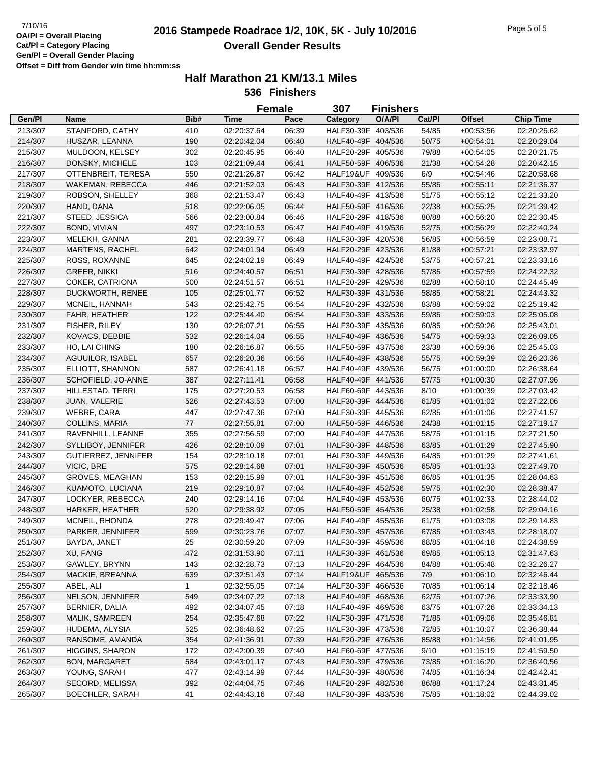|         |                        |              |                            | <b>Female</b> | 307                                      | <b>Finishers</b> |        |                            |                            |
|---------|------------------------|--------------|----------------------------|---------------|------------------------------------------|------------------|--------|----------------------------|----------------------------|
| Gen/Pl  | <b>Name</b>            | Bib#         | <b>Time</b>                | Pace          | Category                                 | O/A/PI           | Cat/PI | <b>Offset</b>              | <b>Chip Time</b>           |
| 213/307 | STANFORD, CATHY        | 410          | 02:20:37.64                | 06:39         | HALF30-39F 403/536                       |                  | 54/85  | $+00.53.56$                | 02:20:26.62                |
| 214/307 | HUSZAR, LEANNA         | 190          | 02:20:42.04                | 06:40         | HALF40-49F 404/536                       |                  | 50/75  | $+00:54:01$                | 02:20:29.04                |
| 215/307 | MULDOON, KELSEY        | 302          | 02:20:45.95                | 06:40         | HALF20-29F 405/536                       |                  | 79/88  | $+00:54:05$                | 02:20:21.75                |
| 216/307 | DONSKY, MICHELE        | 103          | 02:21:09.44                | 06:41         | HALF50-59F 406/536                       |                  | 21/38  | $+00:54:28$                | 02:20:42.15                |
| 217/307 | OTTENBREIT, TERESA     | 550          | 02:21:26.87                | 06:42         | HALF19&UF 409/536                        |                  | 6/9    | $+00.54:46$                | 02:20:58.68                |
| 218/307 | WAKEMAN, REBECCA       | 446          | 02:21:52.03                | 06:43         | HALF30-39F 412/536                       |                  | 55/85  | $+00.55:11$                | 02:21:36.37                |
| 219/307 | ROBSON, SHELLEY        | 368          | 02:21:53.47                | 06:43         | HALF40-49F 413/536                       |                  | 51/75  | $+00:55:12$                | 02:21:33.20                |
| 220/307 | HAND, DANA             | 518          | 02:22:06.05                | 06:44         | HALF50-59F 416/536                       |                  | 22/38  | $+00.55:25$                | 02:21:39.42                |
| 221/307 | STEED, JESSICA         | 566          | 02:23:00.84                | 06:46         | HALF20-29F 418/536                       |                  | 80/88  | $+00:56:20$                | 02:22:30.45                |
| 222/307 | BOND, VIVIAN           | 497          | 02:23:10.53                | 06:47         | HALF40-49F 419/536                       |                  | 52/75  | $+00:56:29$                | 02:22:40.24                |
| 223/307 | MELEKH, GANNA          | 281          | 02:23:39.77                | 06:48         | HALF30-39F 420/536                       |                  | 56/85  | $+00:56:59$                | 02:23:08.71                |
| 224/307 | <b>MARTENS, RACHEL</b> | 642          | 02:24:01.94                | 06:49         | HALF20-29F 423/536                       |                  | 81/88  | $+00:57:21$                | 02:23:32.97                |
| 225/307 | ROSS, ROXANNE          | 645          | 02:24:02.19                | 06:49         | HALF40-49F 424/536                       |                  | 53/75  | $+00:57:21$                | 02:23:33.16                |
| 226/307 | <b>GREER, NIKKI</b>    | 516          | 02:24:40.57                | 06:51         | HALF30-39F 428/536                       |                  | 57/85  | $+00.57:59$                | 02:24:22.32                |
| 227/307 | COKER, CATRIONA        | 500          | 02:24:51.57                | 06:51         | HALF20-29F 429/536                       |                  | 82/88  | $+00:58:10$                | 02:24:45.49                |
| 228/307 | DUCKWORTH, RENEE       | 105          | 02:25:01.77                | 06:52         | HALF30-39F 431/536                       |                  | 58/85  | $+00:58:21$                | 02:24:43.32                |
| 229/307 | MCNEIL, HANNAH         | 543          | 02:25:42.75                | 06:54         | HALF20-29F 432/536                       |                  | 83/88  | $+00:59:02$                | 02:25:19.42                |
| 230/307 | <b>FAHR, HEATHER</b>   | 122          | 02:25:44.40                | 06:54         | HALF30-39F 433/536                       |                  | 59/85  | $+00:59:03$                | 02:25:05.08                |
| 231/307 | FISHER, RILEY          | 130          | 02:26:07.21                | 06:55         | HALF30-39F 435/536                       |                  | 60/85  | $+00:59:26$                | 02:25:43.01                |
| 232/307 | KOVACS, DEBBIE         | 532          | 02:26:14.04                | 06:55         | HALF40-49F 436/536                       |                  | 54/75  | $+00:59:33$                | 02:26:09.05                |
| 233/307 | HO, LAI CHING          | 180          | 02:26:16.87                | 06:55         | HALF50-59F 437/536                       |                  | 23/38  | $+00:59:36$                | 02:25:45.03                |
| 234/307 | AGUUILOR, ISABEL       | 657          | 02:26:20.36                | 06:56         | HALF40-49F 438/536                       |                  | 55/75  | $+00:59:39$                | 02:26:20.36                |
| 235/307 | ELLIOTT, SHANNON       | 587          | 02:26:41.18                | 06:57         | HALF40-49F 439/536                       |                  | 56/75  | $+01:00:00$                | 02:26:38.64                |
| 236/307 | SCHOFIELD, JO-ANNE     | 387          | 02:27:11.41                | 06:58         | HALF40-49F 441/536                       |                  | 57/75  | $+01:00:30$                | 02:27:07.96                |
| 237/307 | HILLESTAD, TERRI       | 175          | 02:27:20.53                | 06:58         | HALF60-69F 443/536                       |                  | 8/10   | $+01:00:39$                | 02:27:03.42                |
| 238/307 | JUAN, VALERIE          | 526          | 02:27:43.53                | 07:00         | HALF30-39F 444/536                       |                  | 61/85  | $+01:01:02$                | 02:27:22.06                |
| 239/307 | WEBRE, CARA            | 447          | 02:27:47.36                | 07:00         | HALF30-39F 445/536                       |                  | 62/85  | $+01:01:06$                | 02:27:41.57                |
| 240/307 | COLLINS, MARIA         | 77           | 02:27:55.81                | 07:00         | HALF50-59F 446/536                       |                  | 24/38  | $+01:01:15$                | 02:27:19.17                |
| 241/307 | RAVENHILL, LEANNE      | 355          | 02:27:56.59                | 07:00         | HALF40-49F 447/536                       |                  | 58/75  |                            |                            |
| 242/307 | SYLLIBOY, JENNIFER     | 426          |                            | 07:01         | HALF30-39F 448/536                       |                  | 63/85  | $+01:01:15$                | 02:27:21.50<br>02:27:45.90 |
| 243/307 | GUTIERREZ, JENNIFER    | 154          | 02:28:10.09<br>02:28:10.18 | 07:01         | HALF30-39F 449/536                       |                  | 64/85  | $+01:01:29$<br>$+01:01:29$ | 02:27:41.61                |
| 244/307 | VICIC, BRE             | 575          | 02:28:14.68                | 07:01         | HALF30-39F 450/536                       |                  | 65/85  | $+01:01:33$                | 02:27:49.70                |
|         |                        |              | 02:28:15.99                |               |                                          |                  |        |                            | 02:28:04.63                |
| 245/307 | GROVES, MEAGHAN        | 153          | 02:29:10.87                | 07:01         | HALF30-39F 451/536<br>HALF40-49F 452/536 |                  | 66/85  | $+01:01:35$                |                            |
| 246/307 | KUAMOTO, LUCIANA       | 219          |                            | 07:04         |                                          |                  | 59/75  | $+01:02:30$                | 02:28:38.47                |
| 247/307 | LOCKYER, REBECCA       | 240          | 02:29:14.16                | 07:04         | HALF40-49F 453/536                       |                  | 60/75  | $+01:02:33$                | 02:28:44.02                |
| 248/307 | HARKER, HEATHER        | 520          | 02:29:38.92                | 07:05         | HALF50-59F 454/536                       |                  | 25/38  | $+01:02:58$                | 02:29:04.16                |
| 249/307 | MCNEIL, RHONDA         | 278          | 02:29:49.47                | 07:06         | HALF40-49F 455/536<br>HALF30-39F 457/536 |                  | 61/75  | $+01:03:08$                | 02:29:14.83                |
| 250/307 | PARKER, JENNIFER       | 599          | 02:30:23.76                | 07:07         |                                          |                  | 67/85  | $+01:03:43$                | 02:28:18.07                |
| 251/307 | BAYDA, JANET           | 25           | 02:30:59.20                | 07:09         | HALF30-39F 459/536                       |                  | 68/85  | $+01:04:18$                | 02:24:38.59                |
| 252/307 | XU, FANG               | 472          | 02:31:53.90                | 07:11         | HALF30-39F 461/536                       |                  | 69/85  | $+01:05:13$                | 02:31:47.63                |
| 253/307 | GAWLEY, BRYNN          | 143          | 02:32:28.73                | 07:13         | HALF20-29F 464/536                       |                  | 84/88  | $+01:05:48$                | 02:32:26.27                |
| 254/307 | MACKIE, BREANNA        | 639          | 02:32:51.43                | 07:14         | HALF19&UF 465/536                        |                  | 7/9    | $+01:06:10$                | 02:32:46.44                |
| 255/307 | ABEL, ALI              | $\mathbf{1}$ | 02:32:55.05                | 07:14         | HALF30-39F 466/536                       |                  | 70/85  | $+01:06:14$                | 02:32:18.46                |
| 256/307 | NELSON, JENNIFER       | 549          | 02:34:07.22                | 07:18         | HALF40-49F 468/536                       |                  | 62/75  | $+01:07:26$                | 02:33:33.90                |
| 257/307 | BERNIER, DALIA         | 492          | 02:34:07.45                | 07:18         | HALF40-49F 469/536                       |                  | 63/75  | $+01:07:26$                | 02:33:34.13                |
| 258/307 | MALIK, SAMREEN         | 254          | 02:35:47.68                | 07:22         | HALF30-39F 471/536                       |                  | 71/85  | $+01:09:06$                | 02:35:46.81                |
| 259/307 | HUDEMA, ALYSIA         | 525          | 02:36:48.62                | 07:25         | HALF30-39F 473/536                       |                  | 72/85  | $+01:10:07$                | 02:36:38.44                |
| 260/307 | RANSOME, AMANDA        | 354          | 02:41:36.91                | 07:39         | HALF20-29F 476/536                       |                  | 85/88  | $+01:14:56$                | 02:41:01.95                |
| 261/307 | <b>HIGGINS, SHARON</b> | 172          | 02:42:00.39                | 07:40         | HALF60-69F 477/536                       |                  | 9/10   | $+01:15:19$                | 02:41:59.50                |
| 262/307 | BON, MARGARET          | 584          | 02:43:01.17                | 07:43         | HALF30-39F 479/536                       |                  | 73/85  | $+01:16:20$                | 02:36:40.56                |
| 263/307 | YOUNG, SARAH           | 477          | 02:43:14.99                | 07:44         | HALF30-39F 480/536                       |                  | 74/85  | $+01:16:34$                | 02:42:42.41                |
| 264/307 | SECORD, MELISSA        | 392          | 02:44:04.75                | 07:46         | HALF20-29F 482/536                       |                  | 86/88  | $+01:17:24$                | 02:43:31.45                |
| 265/307 | BOECHLER, SARAH        | 41           | 02:44:43.16                | 07:48         | HALF30-39F 483/536                       |                  | 75/85  | $+01:18:02$                | 02:44:39.02                |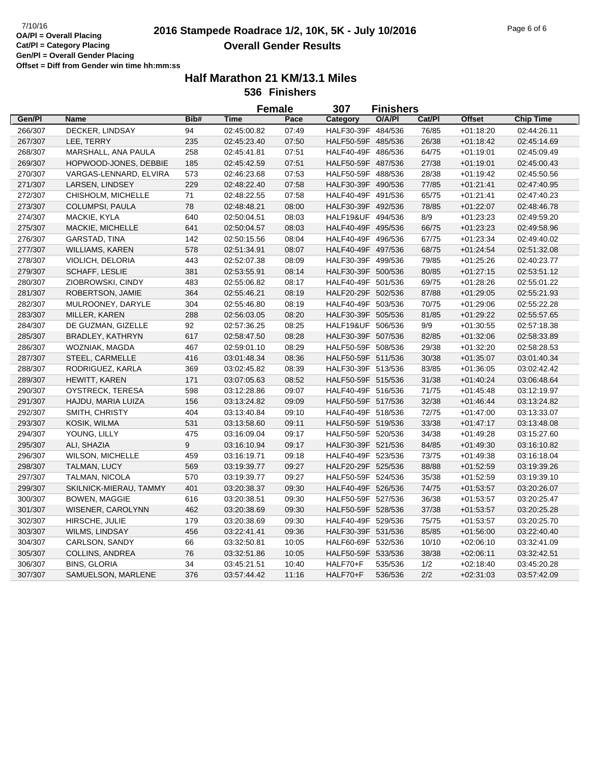# **2016 Stampede Roadrace 1/2, 10K, 5K - July 10/2016** 7/10/16 Page 6 of 6 **Overall Gender Results**

|         |                         |      | <b>Female</b> |       | 307                | <b>Finishers</b> |        |               |                  |
|---------|-------------------------|------|---------------|-------|--------------------|------------------|--------|---------------|------------------|
| Gen/Pl  | Name                    | Bib# | <b>Time</b>   | Pace  | Category           | O/A/PI           | Cat/PI | <b>Offset</b> | <b>Chip Time</b> |
| 266/307 | DECKER, LINDSAY         | 94   | 02:45:00.82   | 07:49 | HALF30-39F 484/536 |                  | 76/85  | $+01:18:20$   | 02:44:26.11      |
| 267/307 | LEE, TERRY              | 235  | 02:45:23.40   | 07:50 | HALF50-59F 485/536 |                  | 26/38  | $+01:18:42$   | 02:45:14.69      |
| 268/307 | MARSHALL, ANA PAULA     | 258  | 02:45:41.81   | 07:51 | HALF40-49F 486/536 |                  | 64/75  | $+01:19:01$   | 02:45:09.49      |
| 269/307 | HOPWOOD-JONES, DEBBIE   | 185  | 02:45:42.59   | 07:51 | HALF50-59F 487/536 |                  | 27/38  | $+01:19:01$   | 02:45:00.43      |
| 270/307 | VARGAS-LENNARD, ELVIRA  | 573  | 02:46:23.68   | 07:53 | HALF50-59F 488/536 |                  | 28/38  | $+01:19:42$   | 02:45:50.56      |
| 271/307 | LARSEN, LINDSEY         | 229  | 02:48:22.40   | 07:58 | HALF30-39F 490/536 |                  | 77/85  | $+01:21:41$   | 02:47:40.95      |
| 272/307 | CHISHOLM, MICHELLE      | 71   | 02:48:22.55   | 07:58 | HALF40-49F 491/536 |                  | 65/75  | $+01:21:41$   | 02:47:40.23      |
| 273/307 | COLUMPSI, PAULA         | 78   | 02:48:48.21   | 08:00 | HALF30-39F 492/536 |                  | 78/85  | $+01:22:07$   | 02:48:46.78      |
| 274/307 | MACKIE, KYLA            | 640  | 02:50:04.51   | 08:03 | HALF19&UF 494/536  |                  | 8/9    | $+01:23:23$   | 02:49:59.20      |
| 275/307 | MACKIE, MICHELLE        | 641  | 02:50:04.57   | 08:03 | HALF40-49F 495/536 |                  | 66/75  | $+01:23:23$   | 02:49:58.96      |
| 276/307 | GARSTAD, TINA           | 142  | 02:50:15.56   | 08:04 | HALF40-49F 496/536 |                  | 67/75  | $+01:23:34$   | 02:49:40.02      |
| 277/307 | <b>WILLIAMS, KAREN</b>  | 578  | 02:51:34.91   | 08:07 | HALF40-49F 497/536 |                  | 68/75  | $+01:24:54$   | 02:51:32.08      |
| 278/307 | VIOLICH, DELORIA        | 443  | 02:52:07.38   | 08:09 | HALF30-39F 499/536 |                  | 79/85  | $+01:25:26$   | 02:40:23.77      |
| 279/307 | <b>SCHAFF, LESLIE</b>   | 381  | 02:53:55.91   | 08:14 | HALF30-39F 500/536 |                  | 80/85  | $+01:27:15$   | 02:53:51.12      |
| 280/307 | ZIOBROWSKI, CINDY       | 483  | 02:55:06.82   | 08:17 | HALF40-49F 501/536 |                  | 69/75  | $+01:28:26$   | 02:55:01.22      |
| 281/307 | ROBERTSON, JAMIE        | 364  | 02:55:46.21   | 08:19 | HALF20-29F 502/536 |                  | 87/88  | $+01:29:05$   | 02:55:21.93      |
| 282/307 | MULROONEY, DARYLE       | 304  | 02:55:46.80   | 08:19 | HALF40-49F 503/536 |                  | 70/75  | $+01:29:06$   | 02:55:22.28      |
| 283/307 | MILLER, KAREN           | 288  | 02:56:03.05   | 08:20 | HALF30-39F 505/536 |                  | 81/85  | $+01:29:22$   | 02:55:57.65      |
| 284/307 | DE GUZMAN, GIZELLE      | 92   | 02:57:36.25   | 08:25 | HALF19&UF 506/536  |                  | 9/9    | $+01:30:55$   | 02:57:18.38      |
| 285/307 | BRADLEY, KATHRYN        | 617  | 02:58:47.50   | 08:28 | HALF30-39F 507/536 |                  | 82/85  | $+01:32:06$   | 02:58:33.89      |
| 286/307 | WOZNIAK, MAGDA          | 467  | 02:59:01.10   | 08:29 | HALF50-59F 508/536 |                  | 29/38  | $+01:32:20$   | 02:58:28.53      |
| 287/307 | STEEL, CARMELLE         | 416  | 03:01:48.34   | 08:36 | HALF50-59F 511/536 |                  | 30/38  | $+01:35:07$   | 03:01:40.34      |
| 288/307 | RODRIGUEZ, KARLA        | 369  | 03:02:45.82   | 08:39 | HALF30-39F 513/536 |                  | 83/85  | $+01:36:05$   | 03:02:42.42      |
| 289/307 | HEWITT, KAREN           | 171  | 03:07:05.63   | 08:52 | HALF50-59F 515/536 |                  | 31/38  | $+01:40:24$   | 03:06:48.64      |
| 290/307 | OYSTRECK, TERESA        | 598  | 03:12:28.86   | 09:07 | HALF40-49F 516/536 |                  | 71/75  | $+01:45:48$   | 03:12:19.97      |
| 291/307 | HAJDU, MARIA LUIZA      | 156  | 03:13:24.82   | 09:09 | HALF50-59F 517/536 |                  | 32/38  | $+01.46.44$   | 03:13:24.82      |
| 292/307 | SMITH, CHRISTY          | 404  | 03:13:40.84   | 09:10 | HALF40-49F 518/536 |                  | 72/75  | $+01:47:00$   | 03:13:33.07      |
| 293/307 | KOSIK, WILMA            | 531  | 03:13:58.60   | 09:11 | HALF50-59F 519/536 |                  | 33/38  | $+01:47:17$   | 03:13:48.08      |
| 294/307 | YOUNG, LILLY            | 475  | 03:16:09.04   | 09:17 | HALF50-59F 520/536 |                  | 34/38  | $+01:49:28$   | 03:15:27.60      |
| 295/307 | ALI, SHAZIA             | 9    | 03:16:10.94   | 09:17 | HALF30-39F 521/536 |                  | 84/85  | $+01:49:30$   | 03:16:10.82      |
| 296/307 | <b>WILSON, MICHELLE</b> | 459  | 03:16:19.71   | 09:18 | HALF40-49F 523/536 |                  | 73/75  | $+01:49:38$   | 03:16:18.04      |
| 298/307 | TALMAN, LUCY            | 569  | 03:19:39.77   | 09:27 | HALF20-29F 525/536 |                  | 88/88  | $+01:52:59$   | 03:19:39.26      |
| 297/307 | TALMAN, NICOLA          | 570  | 03:19:39.77   | 09:27 | HALF50-59F 524/536 |                  | 35/38  | $+01:52:59$   | 03:19:39.10      |
| 299/307 | SKILNICK-MIERAU, TAMMY  | 401  | 03:20:38.37   | 09:30 | HALF40-49F 526/536 |                  | 74/75  | $+01.53.57$   | 03:20:26.07      |
| 300/307 | <b>BOWEN, MAGGIE</b>    | 616  | 03:20:38.51   | 09:30 | HALF50-59F 527/536 |                  | 36/38  | $+01:53:57$   | 03:20:25.47      |
| 301/307 | WISENER, CAROLYNN       | 462  | 03:20:38.69   | 09:30 | HALF50-59F 528/536 |                  | 37/38  | $+01:53:57$   | 03:20:25.28      |
| 302/307 | HIRSCHE, JULIE          | 179  | 03:20:38.69   | 09:30 | HALF40-49F 529/536 |                  | 75/75  | $+01:53:57$   | 03:20:25.70      |
| 303/307 | <b>WILMS, LINDSAY</b>   | 456  | 03:22:41.41   | 09:36 | HALF30-39F 531/536 |                  | 85/85  | $+01:56:00$   | 03:22:40.40      |
| 304/307 | CARLSON, SANDY          | 66   | 03:32:50.81   | 10:05 | HALF60-69F 532/536 |                  | 10/10  | $+02:06:10$   | 03:32:41.09      |
| 305/307 | COLLINS, ANDREA         | 76   | 03:32:51.86   | 10:05 | HALF50-59F 533/536 |                  | 38/38  | $+02:06:11$   | 03:32:42.51      |
| 306/307 | <b>BINS, GLORIA</b>     | 34   | 03:45:21.51   | 10:40 | HALF70+F           | 535/536          | 1/2    | $+02:18:40$   | 03:45:20.28      |
| 307/307 | SAMUELSON, MARLENE      | 376  | 03:57:44.42   | 11:16 | HALF70+F           | 536/536          | 2/2    | $+02:31:03$   | 03:57:42.09      |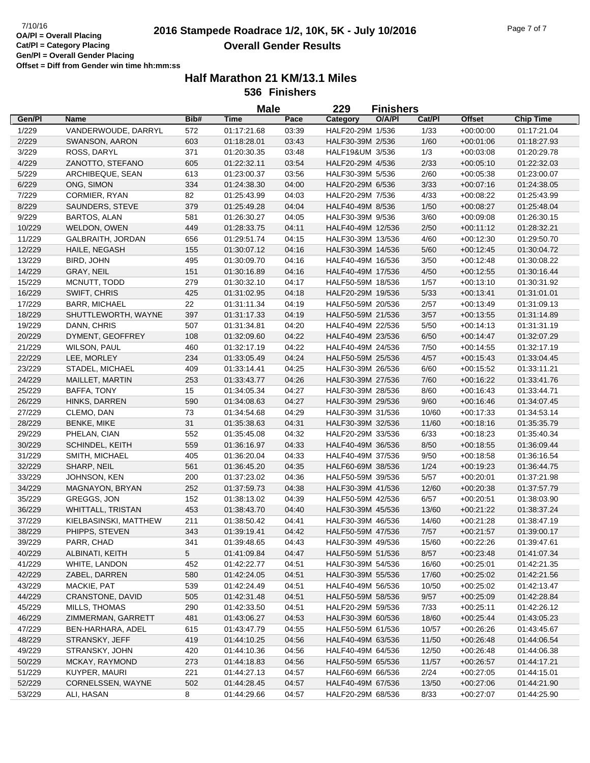## **2016 Stampede Roadrace 1/2, 10K, 5K - July 10/2016** Page 7 of 7 Page 7 of 7 **Overall Gender Results**

|        |                          |                | Male        |       | 229               | <b>Finishers</b> |        |               |                  |
|--------|--------------------------|----------------|-------------|-------|-------------------|------------------|--------|---------------|------------------|
| Gen/Pl | <b>Name</b>              | Bib#           | Time        | Pace  | Category          | O/A/PI           | Cat/Pl | <b>Offset</b> | <b>Chip Time</b> |
| 1/229  | VANDERWOUDE, DARRYL      | 572            | 01:17:21.68 | 03:39 | HALF20-29M 1/536  |                  | 1/33   | $+00:00:00$   | 01:17:21.04      |
| 2/229  | SWANSON, AARON           | 603            | 01:18:28.01 | 03:43 | HALF30-39M 2/536  |                  | 1/60   | $+00:01:06$   | 01:18:27.93      |
| 3/229  | ROSS, DARYL              | 371            | 01:20:30.35 | 03:48 | HALF19&UM 3/536   |                  | 1/3    | $+00:03:08$   | 01:20:29.78      |
| 4/229  | ZANOTTO, STEFANO         | 605            | 01:22:32.11 | 03:54 | HALF20-29M 4/536  |                  | 2/33   | $+00:05:10$   | 01:22:32.03      |
| 5/229  | ARCHIBEQUE, SEAN         | 613            | 01:23:00.37 | 03:56 | HALF30-39M 5/536  |                  | 2/60   | $+00:05:38$   | 01:23:00.07      |
| 6/229  | ONG, SIMON               | 334            | 01:24:38.30 | 04:00 | HALF20-29M 6/536  |                  | 3/33   | $+00:07:16$   | 01:24:38.05      |
| 7/229  | CORMIER, RYAN            | 82             | 01:25:43.99 | 04:03 | HALF20-29M 7/536  |                  | 4/33   | $+00:08:22$   | 01:25:43.99      |
| 8/229  | SAUNDERS, STEVE          | 379            | 01:25:49.28 | 04:04 | HALF40-49M 8/536  |                  | 1/50   | $+00:08:27$   | 01:25:48.04      |
| 9/229  | <b>BARTOS, ALAN</b>      | 581            | 01:26:30.27 | 04:05 | HALF30-39M 9/536  |                  | 3/60   | $+00.09:08$   | 01:26:30.15      |
| 10/229 | WELDON, OWEN             | 449            | 01:28:33.75 | 04:11 | HALF40-49M 12/536 |                  | 2/50   | $+00:11:12$   | 01:28:32.21      |
| 11/229 | GALBRAITH, JORDAN        | 656            | 01:29:51.74 | 04:15 | HALF30-39M 13/536 |                  | 4/60   | $+00:12:30$   | 01:29:50.70      |
| 12/229 | HAILE, NEGASH            | 155            | 01:30:07.12 | 04:16 | HALF30-39M 14/536 |                  | 5/60   | $+00:12:45$   | 01:30:04.72      |
| 13/229 | BIRD, JOHN               | 495            | 01:30:09.70 | 04:16 | HALF40-49M 16/536 |                  | 3/50   | $+00:12:48$   | 01:30:08.22      |
| 14/229 | GRAY, NEIL               | 151            | 01:30:16.89 | 04:16 | HALF40-49M 17/536 |                  | 4/50   | $+00:12:55$   | 01:30:16.44      |
| 15/229 | MCNUTT, TODD             | 279            | 01:30:32.10 | 04:17 | HALF50-59M 18/536 |                  | 1/57   | $+00:13:10$   | 01:30:31.92      |
| 16/229 | SWIFT, CHRIS             | 425            | 01:31:02.95 | 04:18 | HALF20-29M 19/536 |                  | 5/33   | $+00:13:41$   | 01:31:01.01      |
| 17/229 | <b>BARR, MICHAEL</b>     | 22             | 01:31:11.34 | 04:19 | HALF50-59M 20/536 |                  | 2/57   | $+00:13:49$   | 01:31:09.13      |
| 18/229 | SHUTTLEWORTH, WAYNE      | 397            | 01:31:17.33 | 04:19 | HALF50-59M 21/536 |                  | 3/57   | $+00:13:55$   | 01:31:14.89      |
| 19/229 | DANN, CHRIS              | 507            | 01:31:34.81 | 04:20 | HALF40-49M 22/536 |                  | 5/50   | $+00:14:13$   | 01:31:31.19      |
| 20/229 | DYMENT, GEOFFREY         | 108            | 01:32:09.60 | 04:22 | HALF40-49M 23/536 |                  | 6/50   | $+00:14:47$   | 01:32:07.29      |
| 21/229 | <b>WILSON, PAUL</b>      | 460            | 01:32:17.19 | 04:22 | HALF40-49M 24/536 |                  | 7/50   | $+00:14:55$   | 01:32:17.19      |
| 22/229 | LEE, MORLEY              | 234            | 01:33:05.49 | 04:24 | HALF50-59M 25/536 |                  | 4/57   | $+00:15:43$   | 01:33:04.45      |
| 23/229 | STADEL, MICHAEL          | 409            | 01:33:14.41 | 04:25 | HALF30-39M 26/536 |                  | 6/60   | $+00:15:52$   | 01:33:11.21      |
| 24/229 | MAILLET, MARTIN          | 253            | 01:33:43.77 | 04:26 | HALF30-39M 27/536 |                  | 7/60   | $+00:16:22$   | 01:33:41.76      |
| 25/229 | BAFFA, TONY              | 15             | 01:34:05.34 | 04:27 | HALF30-39M 28/536 |                  | 8/60   | $+00:16:43$   | 01:33:44.71      |
| 26/229 | HINKS, DARREN            | 590            | 01:34:08.63 | 04:27 | HALF30-39M 29/536 |                  | 9/60   | $+00.16:46$   | 01:34:07.45      |
| 27/229 | CLEMO, DAN               | 73             | 01:34:54.68 | 04:29 | HALF30-39M 31/536 |                  | 10/60  | $+00:17:33$   | 01:34:53.14      |
| 28/229 | <b>BENKE, MIKE</b>       | 31             | 01:35:38.63 | 04:31 | HALF30-39M 32/536 |                  | 11/60  | $+00:18:16$   | 01:35:35.79      |
| 29/229 | PHELAN, CIAN             | 552            | 01:35:45.08 | 04:32 | HALF20-29M 33/536 |                  | 6/33   | $+00:18:23$   | 01:35:40.34      |
| 30/229 | SCHINDEL, KEITH          | 559            | 01:36:16.97 | 04:33 | HALF40-49M 36/536 |                  | 8/50   | $+00:18:55$   | 01:36:09.44      |
| 31/229 | SMITH, MICHAEL           | 405            | 01:36:20.04 | 04:33 | HALF40-49M 37/536 |                  | 9/50   | $+00:18:58$   | 01:36:16.54      |
| 32/229 | SHARP, NEIL              | 561            | 01:36:45.20 | 04:35 | HALF60-69M 38/536 |                  | 1/24   | $+00:19:23$   | 01:36:44.75      |
| 33/229 | JOHNSON, KEN             | 200            | 01:37:23.02 | 04:36 | HALF50-59M 39/536 |                  | 5/57   | $+00:20:01$   | 01:37:21.98      |
| 34/229 | MAGNAYON, BRYAN          | 252            | 01:37:59.73 | 04:38 | HALF30-39M 41/536 |                  | 12/60  | $+00:20:38$   | 01:37:57.79      |
| 35/229 | GREGGS, JON              | 152            | 01:38:13.02 | 04:39 | HALF50-59M 42/536 |                  | 6/57   | $+00:20:51$   | 01:38:03.90      |
| 36/229 | <b>WHITTALL, TRISTAN</b> | 453            | 01:38:43.70 | 04:40 | HALF30-39M 45/536 |                  | 13/60  | $+00:21:22$   | 01:38:37.24      |
| 37/229 | KIELBASINSKI, MATTHEW    | 211            | 01:38:50.42 | 04:41 | HALF30-39M 46/536 |                  | 14/60  | $+00:21:28$   | 01:38:47.19      |
| 38/229 | PHIPPS, STEVEN           | 343            | 01:39:19.41 | 04:42 | HALF50-59M 47/536 |                  | $7/57$ | $+00:21:57$   | 01:39:00.17      |
| 39/229 | PARR, CHAD               | 341            | 01:39:48.65 | 04:43 | HALF30-39M 49/536 |                  | 15/60  | $+00:22:26$   | 01:39:47.61      |
| 40/229 | ALBINATI, KEITH          | 5 <sup>5</sup> | 01:41:09.84 | 04:47 | HALF50-59M 51/536 |                  | 8/57   | $+00.23.48$   | 01:41:07.34      |
| 41/229 | WHITE, LANDON            | 452            | 01:42:22.77 | 04:51 | HALF30-39M 54/536 |                  | 16/60  | $+00:25:01$   | 01:42:21.35      |
| 42/229 | ZABEL, DARREN            | 580            | 01:42:24.05 | 04:51 | HALF30-39M 55/536 |                  | 17/60  | $+00.25.02$   | 01:42:21.56      |
| 43/229 | MACKIE, PAT              | 539            | 01:42:24.49 | 04:51 | HALF40-49M 56/536 |                  | 10/50  | $+00.25:02$   | 01:42:13.47      |
| 44/229 | CRANSTONE, DAVID         | 505            | 01:42:31.48 | 04:51 | HALF50-59M 58/536 |                  | 9/57   | $+00:25:09$   | 01:42:28.84      |
| 45/229 | MILLS, THOMAS            | 290            | 01:42:33.50 | 04:51 | HALF20-29M 59/536 |                  | 7/33   | $+00:25:11$   | 01:42:26.12      |
| 46/229 | ZIMMERMAN, GARRETT       | 481            | 01:43:06.27 | 04:53 | HALF30-39M 60/536 |                  | 18/60  | $+00.25.44$   | 01:43:05.23      |
| 47/229 | BEN-HARHARA, ADEL        | 615            | 01:43:47.79 | 04:55 | HALF50-59M 61/536 |                  | 10/57  | $+00.26:26$   | 01:43:45.67      |
| 48/229 | STRANSKY, JEFF           | 419            | 01:44:10.25 | 04:56 | HALF40-49M 63/536 |                  | 11/50  | $+00.26:48$   | 01:44:06.54      |
| 49/229 | STRANSKY, JOHN           | 420            | 01:44:10.36 | 04:56 | HALF40-49M 64/536 |                  | 12/50  | $+00.26:48$   | 01:44:06.38      |
| 50/229 | MCKAY, RAYMOND           | 273            | 01:44:18.83 | 04:56 | HALF50-59M 65/536 |                  | 11/57  | $+00.26.57$   | 01:44:17.21      |
| 51/229 | KUYPER, MAURI            | 221            | 01:44:27.13 | 04:57 | HALF60-69M 66/536 |                  | 2/24   | $+00.27:05$   | 01:44:15.01      |
| 52/229 | CORNELSSEN, WAYNE        | 502            | 01:44:28.45 | 04:57 | HALF40-49M 67/536 |                  | 13/50  | $+00:27:06$   | 01:44:21.90      |
| 53/229 | ALI, HASAN               | 8              | 01:44:29.66 | 04:57 | HALF20-29M 68/536 |                  | 8/33   | $+00.27:07$   | 01:44:25.90      |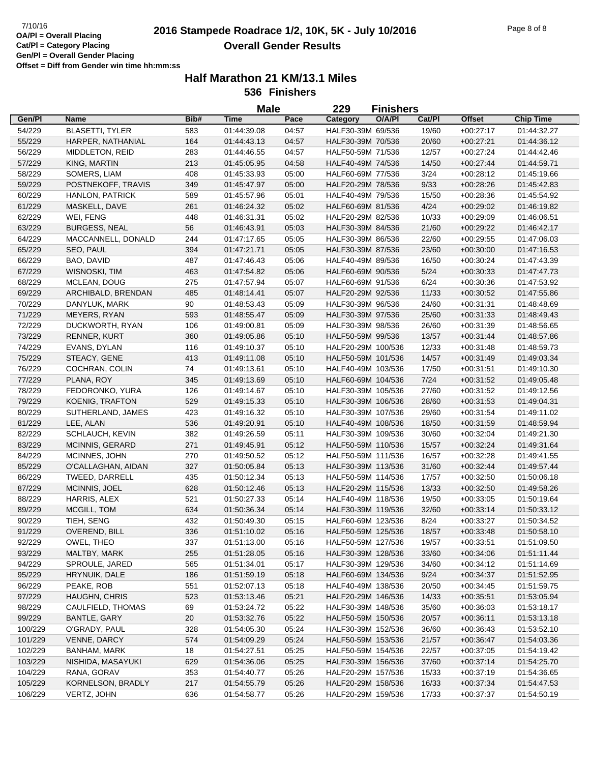# **2016 Stampede Roadrace 1/2, 10K, 5K - July 10/2016** 7/10/16 Page 8 of 8 **Overall Gender Results**

|         |                            |      | <b>Male</b>                |       | 229                                      | <b>Finishers</b> |                |                            |                            |
|---------|----------------------------|------|----------------------------|-------|------------------------------------------|------------------|----------------|----------------------------|----------------------------|
| Gen/Pl  | <b>Name</b>                | Bib# | <b>Time</b>                | Pace  | Category                                 | O/A/PI           | Cat/PI         | <b>Offset</b>              | <b>Chip Time</b>           |
| 54/229  | <b>BLASETTI, TYLER</b>     | 583  | 01:44:39.08                | 04:57 | HALF30-39M 69/536                        |                  | 19/60          | $+00:27:17$                | 01:44:32.27                |
| 55/229  | HARPER, NATHANIAL          | 164  | 01:44:43.13                | 04:57 | HALF30-39M 70/536                        |                  | 20/60          | $+00:27:21$                | 01:44:36.12                |
| 56/229  | MIDDLETON, REID            | 283  | 01:44:46.55                | 04:57 | HALF50-59M 71/536                        |                  | 12/57          | $+00:27:24$                | 01:44:42.46                |
| 57/229  | KING, MARTIN               | 213  | 01:45:05.95                | 04:58 | HALF40-49M 74/536                        |                  | 14/50          | $+00:27:44$                | 01:44:59.71                |
| 58/229  | SOMERS, LIAM               | 408  | 01:45:33.93                | 05:00 | HALF60-69M 77/536                        |                  | 3/24           | $+00:28:12$                | 01:45:19.66                |
| 59/229  | POSTNEKOFF, TRAVIS         | 349  | 01:45:47.97                | 05:00 | HALF20-29M 78/536                        |                  | 9/33           | $+00:28:26$                | 01:45:42.83                |
| 60/229  | <b>HANLON, PATRICK</b>     | 589  | 01:45:57.96                | 05:01 | HALF40-49M 79/536                        |                  | 15/50          | $+00:28:36$                | 01:45:54.92                |
| 61/229  | MASKELL, DAVE              | 261  | 01:46:24.32                | 05:02 | HALF60-69M 81/536                        |                  | 4/24           | $+00:29:02$                | 01:46:19.82                |
| 62/229  | WEI, FENG                  | 448  | 01:46:31.31                | 05:02 | HALF20-29M 82/536                        |                  | 10/33          | $+00:29:09$                | 01:46:06.51                |
| 63/229  | <b>BURGESS, NEAL</b>       | 56   | 01:46:43.91                | 05:03 | HALF30-39M 84/536                        |                  | 21/60          | $+00:29:22$                | 01:46:42.17                |
| 64/229  | MACCANNELL, DONALD         | 244  | 01:47:17.65                | 05:05 | HALF30-39M 86/536                        |                  | 22/60          | $+00:29:55$                | 01:47:06.03                |
| 65/229  | SEO, PAUL                  | 394  | 01:47:21.71                | 05:05 | HALF30-39M 87/536                        |                  | 23/60          | $+00:30:00$                | 01:47:16.53                |
| 66/229  | BAO, DAVID                 | 487  | 01:47:46.43                | 05:06 | HALF40-49M 89/536                        |                  | 16/50          | $+00:30:24$                | 01:47:43.39                |
| 67/229  | WISNOSKI, TIM              | 463  | 01:47:54.82                | 05:06 | HALF60-69M 90/536                        |                  | 5/24           | $+00:30:33$                | 01:47:47.73                |
| 68/229  | MCLEAN, DOUG               | 275  | 01:47:57.94                | 05:07 | HALF60-69M 91/536                        |                  | 6/24           | $+00:30:36$                | 01:47:53.92                |
| 69/229  | ARCHIBALD, BRENDAN         | 485  | 01:48:14.41                | 05:07 | HALF20-29M 92/536                        |                  | 11/33          | $+00:30:52$                | 01:47:55.86                |
| 70/229  | DANYLUK, MARK              | 90   | 01:48:53.43                | 05:09 | HALF30-39M 96/536                        |                  | 24/60          | $+00:31:31$                | 01:48:48.69                |
| 71/229  | MEYERS, RYAN               | 593  | 01:48:55.47                | 05:09 | HALF30-39M 97/536                        |                  | 25/60          | $+00:31:33$                | 01:48:49.43                |
| 72/229  | DUCKWORTH, RYAN            | 106  | 01:49:00.81                | 05:09 | HALF30-39M 98/536                        |                  | 26/60          | $+00:31:39$                | 01:48:56.65                |
| 73/229  | RENNER, KURT               | 360  | 01:49:05.86                | 05:10 | HALF50-59M 99/536                        |                  | 13/57          | $+00:31:44$                | 01:48:57.86                |
| 74/229  | EVANS, DYLAN               | 116  | 01:49:10.37                | 05:10 | HALF20-29M 100/536                       |                  | 12/33          | $+00:31:48$                | 01:48:59.73                |
| 75/229  | STEACY, GENE               | 413  | 01:49:11.08                | 05:10 | HALF50-59M 101/536                       |                  | 14/57          | $+00:31:49$                | 01:49:03.34                |
| 76/229  | COCHRAN, COLIN             | 74   | 01:49:13.61                | 05:10 | HALF40-49M 103/536                       |                  | 17/50          | $+00:31:51$                | 01:49:10.30                |
| 77/229  | PLANA, ROY                 | 345  | 01:49:13.69                | 05:10 | HALF60-69M 104/536                       |                  | 7/24           | $+00:31:52$                | 01:49:05.48                |
| 78/229  | FEDORONKO, YURA            | 126  | 01:49:14.67                | 05:10 | HALF30-39M 105/536                       |                  | 27/60          | $+00:31:52$                | 01:49:12.56                |
| 79/229  | <b>KOENIG, TRAFTON</b>     | 529  | 01:49:15.33                | 05:10 | HALF30-39M 106/536                       |                  | 28/60          | $+00:31:53$                | 01:49:04.31                |
| 80/229  | SUTHERLAND, JAMES          | 423  | 01:49:16.32                | 05:10 | HALF30-39M 107/536                       |                  | 29/60          | $+00:31:54$                | 01:49:11.02                |
| 81/229  | LEE, ALAN                  | 536  | 01:49:20.91                | 05:10 | HALF40-49M 108/536                       |                  | 18/50          | $+00:31:59$                | 01:48:59.94                |
| 82/229  | SCHLAUCH, KEVIN            | 382  | 01:49:26.59                | 05:11 | HALF30-39M 109/536                       |                  | 30/60          | $+00:32:04$                | 01:49:21.30                |
| 83/229  | <b>MCINNIS, GERARD</b>     | 271  | 01:49:45.91                | 05:12 | HALF50-59M 110/536                       |                  | 15/57          | $+00:32:24$                | 01:49:31.64                |
| 84/229  | MCINNES, JOHN              | 270  | 01:49:50.52                | 05:12 | HALF50-59M 111/536                       |                  | 16/57          | $+00:32:28$                | 01:49:41.55                |
| 85/229  | O'CALLAGHAN, AIDAN         | 327  | 01:50:05.84                | 05:13 | HALF30-39M 113/536                       |                  | 31/60          | $+00:32:44$                | 01:49:57.44                |
| 86/229  | TWEED, DARRELL             | 435  | 01:50:12.34                | 05:13 | HALF50-59M 114/536                       |                  | 17/57          | $+00:32:50$                | 01:50:06.18                |
| 87/229  | MCINNIS, JOEL              | 628  | 01:50:12.46                | 05:13 | HALF20-29M 115/536                       |                  | 13/33          | $+00:32:50$                | 01:49:58.26                |
| 88/229  | HARRIS, ALEX               | 521  | 01:50:27.33                | 05:14 | HALF40-49M 118/536                       |                  | 19/50          | $+00:33:05$                |                            |
| 89/229  |                            | 634  | 01:50:36.34                | 05:14 | HALF30-39M 119/536                       |                  | 32/60          |                            | 01:50:19.64                |
| 90/229  | MCGILL, TOM<br>TIEH, SENG  | 432  |                            | 05:15 | HALF60-69M 123/536                       |                  | 8/24           | $+00:33:14$<br>$+00.33:27$ | 01:50:33.12                |
| 91/229  | OVEREND, BILL              | 336  | 01:50:49.30<br>01:51:10.02 | 05:16 | HALF50-59M 125/536                       |                  | 18/57          | $+00:33:48$                | 01:50:34.52<br>01:50:58.10 |
|         |                            |      |                            |       |                                          |                  |                |                            |                            |
| 92/229  | OWEL, THEO<br>MALTBY, MARK | 337  | 01:51:13.00                | 05:16 | HALF50-59M 127/536                       |                  | 19/57<br>33/60 | $+00:33:51$                | 01:51:09.50                |
| 93/229  |                            | 255  | 01:51:28.05                | 05:16 | HALF30-39M 128/536<br>HALF30-39M 129/536 |                  |                | $+00:34:06$                | 01:51:11.44                |
| 94/229  | SPROULE, JARED             | 565  | 01:51:34.01                | 05:17 | HALF60-69M 134/536                       |                  | 34/60          | $+00:34:12$                | 01:51:14.69                |
| 95/229  | HRYNUIK, DALE              | 186  | 01:51:59.19                | 05:18 |                                          |                  | 9/24           | $+00:34:37$                | 01:51:52.95                |
| 96/229  | PEAKE, ROB                 | 551  | 01:52:07.13                | 05:18 | HALF40-49M 138/536                       |                  | 20/50          | $+00:34:45$                | 01:51:59.75                |
| 97/229  | HAUGHN, CHRIS              | 523  | 01:53:13.46                | 05:21 | HALF20-29M 146/536                       |                  | 14/33          | $+00:35:51$                | 01:53:05.94                |
| 98/229  | CAULFIELD, THOMAS          | 69   | 01:53:24.72                | 05:22 | HALF30-39M 148/536                       |                  | 35/60          | $+00:36:03$                | 01:53:18.17                |
| 99/229  | <b>BANTLE, GARY</b>        | 20   | 01:53:32.76                | 05:22 | HALF50-59M 150/536                       |                  | 20/57          | $+00:36:11$                | 01:53:13.18                |
| 100/229 | O'GRADY, PAUL              | 328  | 01:54:05.30                | 05:24 | HALF30-39M 152/536                       |                  | 36/60          | $+00:36:43$                | 01:53:52.10                |
| 101/229 | VENNE, DARCY               | 574  | 01:54:09.29                | 05:24 | HALF50-59M 153/536                       |                  | 21/57          | $+00:36:47$                | 01:54:03.36                |
| 102/229 | BANHAM, MARK               | 18   | 01:54:27.51                | 05:25 | HALF50-59M 154/536                       |                  | 22/57          | $+00:37:05$                | 01:54:19.42                |
| 103/229 | NISHIDA, MASAYUKI          | 629  | 01:54:36.06                | 05:25 | HALF30-39M 156/536                       |                  | 37/60          | $+00:37:14$                | 01:54:25.70                |
| 104/229 | RANA, GORAV                | 353  | 01:54:40.77                | 05:26 | HALF20-29M 157/536                       |                  | 15/33          | $+00:37:19$                | 01:54:36.65                |
| 105/229 | KORNELSON, BRADLY          | 217  | 01:54:55.79                | 05:26 | HALF20-29M 158/536                       |                  | 16/33          | $+00:37:34$                | 01:54:47.53                |
| 106/229 | VERTZ, JOHN                | 636  | 01:54:58.77                | 05:26 | HALF20-29M 159/536                       |                  | 17/33          | $+00:37:37$                | 01:54:50.19                |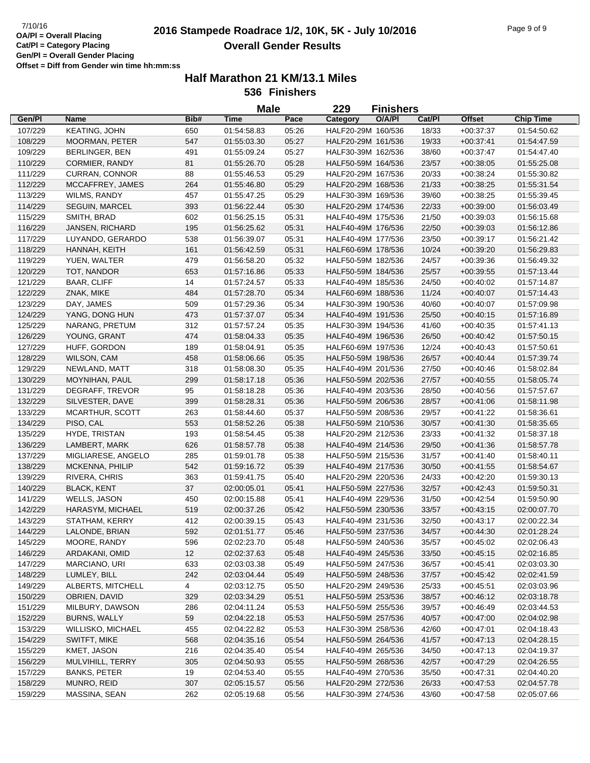## **2016 Stampede Roadrace 1/2, 10K, 5K - July 10/2016** 7/10/16 Page 9 of 9 **Overall Gender Results**

|         |                       |      | <b>Male</b> |       | 229                | <b>Finishers</b> |        |               |                  |
|---------|-----------------------|------|-------------|-------|--------------------|------------------|--------|---------------|------------------|
| Gen/Pl  | Name                  | Bib# | <b>Time</b> | Pace  | Category           | O/A/PI           | Cat/Pl | <b>Offset</b> | <b>Chip Time</b> |
| 107/229 | KEATING, JOHN         | 650  | 01:54:58.83 | 05:26 | HALF20-29M 160/536 |                  | 18/33  | $+00:37:37$   | 01:54:50.62      |
| 108/229 | <b>MOORMAN, PETER</b> | 547  | 01:55:03.30 | 05:27 | HALF20-29M 161/536 |                  | 19/33  | $+00:37:41$   | 01:54:47.59      |
| 109/229 | <b>BERLINGER, BEN</b> | 491  | 01:55:09.24 | 05:27 | HALF30-39M 162/536 |                  | 38/60  | $+00:37:47$   | 01:54:47.40      |
| 110/229 | <b>CORMIER, RANDY</b> | 81   | 01:55:26.70 | 05:28 | HALF50-59M 164/536 |                  | 23/57  | $+00:38:05$   | 01:55:25.08      |
| 111/229 | CURRAN, CONNOR        | 88   | 01:55:46.53 | 05:29 | HALF20-29M 167/536 |                  | 20/33  | $+00:38:24$   | 01:55:30.82      |
| 112/229 | MCCAFFREY, JAMES      | 264  | 01:55:46.80 | 05:29 | HALF20-29M 168/536 |                  | 21/33  | $+00:38:25$   | 01:55:31.54      |
| 113/229 | <b>WILMS, RANDY</b>   | 457  | 01:55:47.25 | 05:29 | HALF30-39M 169/536 |                  | 39/60  | $+00:38:25$   | 01:55:39.45      |
| 114/229 | SEGUIN, MARCEL        | 393  | 01:56:22.44 | 05:30 | HALF20-29M 174/536 |                  | 22/33  | $+00:39:00$   | 01:56:03.49      |
| 115/229 | SMITH, BRAD           | 602  | 01:56:25.15 | 05:31 | HALF40-49M 175/536 |                  | 21/50  | $+00:39:03$   | 01:56:15.68      |
| 116/229 | JANSEN, RICHARD       | 195  | 01:56:25.62 | 05:31 | HALF40-49M 176/536 |                  | 22/50  | $+00.39.03$   | 01:56:12.86      |
| 117/229 | LUYANDO, GERARDO      | 538  | 01:56:39.07 | 05:31 | HALF40-49M 177/536 |                  | 23/50  | $+00:39:17$   | 01:56:21.42      |
| 118/229 | HANNAH, KEITH         | 161  | 01:56:42.59 | 05:31 | HALF60-69M 178/536 |                  | 10/24  | $+00:39:20$   | 01:56:29.83      |
| 119/229 | YUEN, WALTER          | 479  | 01:56:58.20 | 05:32 | HALF50-59M 182/536 |                  | 24/57  | $+00:39:36$   | 01:56:49.32      |
| 120/229 | TOT, NANDOR           | 653  | 01:57:16.86 | 05:33 | HALF50-59M 184/536 |                  | 25/57  | $+00:39:55$   | 01:57:13.44      |
| 121/229 | <b>BAAR, CLIFF</b>    | 14   | 01:57:24.57 | 05:33 | HALF40-49M 185/536 |                  | 24/50  | $+00:40:02$   | 01:57:14.87      |
| 122/229 | ZNAK, MIKE            | 484  | 01:57:28.70 | 05:34 | HALF60-69M 188/536 |                  | 11/24  | $+00:40:07$   | 01:57:14.43      |
| 123/229 | DAY, JAMES            | 509  | 01:57:29.36 | 05:34 | HALF30-39M 190/536 |                  | 40/60  | $+00:40:07$   | 01:57:09.98      |
| 124/229 | YANG, DONG HUN        | 473  | 01:57:37.07 | 05:34 | HALF40-49M 191/536 |                  | 25/50  | $+00:40:15$   | 01:57:16.89      |
| 125/229 | NARANG, PRETUM        | 312  | 01:57:57.24 | 05:35 | HALF30-39M 194/536 |                  | 41/60  | $+00:40:35$   | 01:57:41.13      |
| 126/229 | YOUNG, GRANT          | 474  | 01:58:04.33 | 05:35 | HALF40-49M 196/536 |                  | 26/50  | $+00:40:42$   | 01:57:50.15      |
| 127/229 | HUFF, GORDON          | 189  | 01:58:04.91 | 05:35 | HALF60-69M 197/536 |                  | 12/24  | $+00:40:43$   | 01:57:50.61      |
| 128/229 | WILSON, CAM           | 458  | 01:58:06.66 | 05:35 | HALF50-59M 198/536 |                  | 26/57  | $+00:40:44$   | 01:57:39.74      |
| 129/229 | NEWLAND, MATT         | 318  | 01:58:08.30 | 05:35 | HALF40-49M 201/536 |                  | 27/50  | $+00:40:46$   | 01:58:02.84      |
| 130/229 | MOYNIHAN, PAUL        | 299  | 01:58:17.18 | 05:36 | HALF50-59M 202/536 |                  | 27/57  | $+00:40:55$   | 01:58:05.74      |
| 131/229 | DEGRAFF, TREVOR       | 95   | 01:58:18.28 | 05:36 | HALF40-49M 203/536 |                  | 28/50  | $+00:40:56$   | 01:57:57.67      |
| 132/229 | SILVESTER, DAVE       | 399  | 01:58:28.31 | 05:36 | HALF50-59M 206/536 |                  | 28/57  | $+00:41:06$   | 01:58:11.98      |
| 133/229 | MCARTHUR, SCOTT       | 263  | 01:58:44.60 | 05:37 | HALF50-59M 208/536 |                  | 29/57  | $+00:41:22$   | 01:58:36.61      |
| 134/229 | PISO, CAL             | 553  | 01:58:52.26 | 05:38 | HALF50-59M 210/536 |                  | 30/57  | $+00:41:30$   | 01:58:35.65      |
| 135/229 | HYDE, TRISTAN         | 193  | 01:58:54.45 | 05:38 | HALF20-29M 212/536 |                  | 23/33  | $+00:41:32$   | 01:58:37.18      |
| 136/229 | LAMBERT, MARK         | 626  | 01:58:57.78 | 05:38 | HALF40-49M 214/536 |                  | 29/50  | $+00:41:36$   | 01:58:57.78      |
| 137/229 | MIGLIARESE, ANGELO    | 285  | 01:59:01.78 | 05:38 | HALF50-59M 215/536 |                  | 31/57  | $+00:41:40$   | 01:58:40.11      |
| 138/229 | MCKENNA, PHILIP       | 542  | 01:59:16.72 | 05:39 | HALF40-49M 217/536 |                  | 30/50  | $+00:41:55$   | 01:58:54.67      |
| 139/229 | RIVERA, CHRIS         | 363  | 01:59:41.75 | 05:40 | HALF20-29M 220/536 |                  | 24/33  | $+00:42:20$   | 01:59:30.13      |
| 140/229 | <b>BLACK, KENT</b>    | 37   | 02:00:05.01 | 05:41 | HALF50-59M 227/536 |                  | 32/57  | $+00:42:43$   | 01:59:50.31      |
| 141/229 | <b>WELLS, JASON</b>   | 450  | 02:00:15.88 | 05:41 | HALF40-49M 229/536 |                  | 31/50  | $+00:42:54$   | 01:59:50.90      |
| 142/229 | HARASYM, MICHAEL      | 519  | 02:00:37.26 | 05:42 | HALF50-59M 230/536 |                  | 33/57  | $+00:43:15$   | 02:00:07.70      |
| 143/229 | STATHAM, KERRY        | 412  | 02:00:39.15 | 05:43 | HALF40-49M 231/536 |                  | 32/50  | $+00:43:17$   | 02:00:22.34      |
| 144/229 | LALONDE, BRIAN        | 592  | 02:01:51.77 | 05:46 | HALF50-59M 237/536 |                  | 34/57  | $+00:44:30$   | 02:01:28.24      |
| 145/229 | MOORE, RANDY          | 596  | 02:02:23.70 | 05:48 | HALF50-59M 240/536 |                  | 35/57  | $+00:45:02$   | 02:02:06.43      |
| 146/229 | ARDAKANI, OMID        | 12   | 02:02:37.63 | 05:48 | HALF40-49M 245/536 |                  | 33/50  | $+00:45:15$   | 02:02:16.85      |
| 147/229 | MARCIANO, URI         | 633  | 02:03:03.38 | 05:49 | HALF50-59M 247/536 |                  | 36/57  | $+00:45:41$   | 02:03:03.30      |
| 148/229 | LUMLEY, BILL          | 242  | 02:03:04.44 | 05:49 | HALF50-59M 248/536 |                  | 37/57  | $+00.45.42$   | 02:02:41.59      |
| 149/229 | ALBERTS, MITCHELL     | 4    | 02:03:12.75 | 05:50 | HALF20-29M 249/536 |                  | 25/33  | $+00:45:51$   | 02:03:03.96      |
| 150/229 | OBRIEN, DAVID         | 329  | 02:03:34.29 | 05:51 | HALF50-59M 253/536 |                  | 38/57  | $+00.46.12$   | 02:03:18.78      |
| 151/229 | MILBURY, DAWSON       | 286  | 02:04:11.24 | 05:53 | HALF50-59M 255/536 |                  | 39/57  | $+00.46:49$   | 02:03:44.53      |
| 152/229 | <b>BURNS, WALLY</b>   | 59   | 02:04:22.18 | 05:53 | HALF50-59M 257/536 |                  | 40/57  | $+00.47:00$   | 02:04:02.98      |
| 153/229 | WILLISKO, MICHAEL     | 455  | 02:04:22.82 | 05:53 | HALF30-39M 258/536 |                  | 42/60  | $+00:47:01$   | 02:04:18.43      |
| 154/229 | SWITFT, MIKE          | 568  | 02:04:35.16 | 05:54 | HALF50-59M 264/536 |                  | 41/57  | $+00:47:13$   | 02:04:28.15      |
| 155/229 | KMET, JASON           | 216  | 02:04:35.40 | 05:54 | HALF40-49M 265/536 |                  | 34/50  | $+00.47:13$   | 02:04:19.37      |
| 156/229 | MULVIHILL, TERRY      | 305  | 02:04:50.93 | 05:55 | HALF50-59M 268/536 |                  | 42/57  | $+00:47:29$   | 02:04:26.55      |
| 157/229 | <b>BANKS, PETER</b>   | 19   | 02:04:53.40 | 05:55 | HALF40-49M 270/536 |                  | 35/50  | $+00:47:31$   | 02:04:40.20      |
| 158/229 | MUNRO, REID           | 307  | 02:05:15.57 | 05:56 | HALF20-29M 272/536 |                  | 26/33  | $+00.47:53$   | 02:04:57.78      |
| 159/229 | MASSINA, SEAN         | 262  | 02:05:19.68 | 05:56 | HALF30-39M 274/536 |                  | 43/60  | $+00.47:58$   | 02:05:07.66      |
|         |                       |      |             |       |                    |                  |        |               |                  |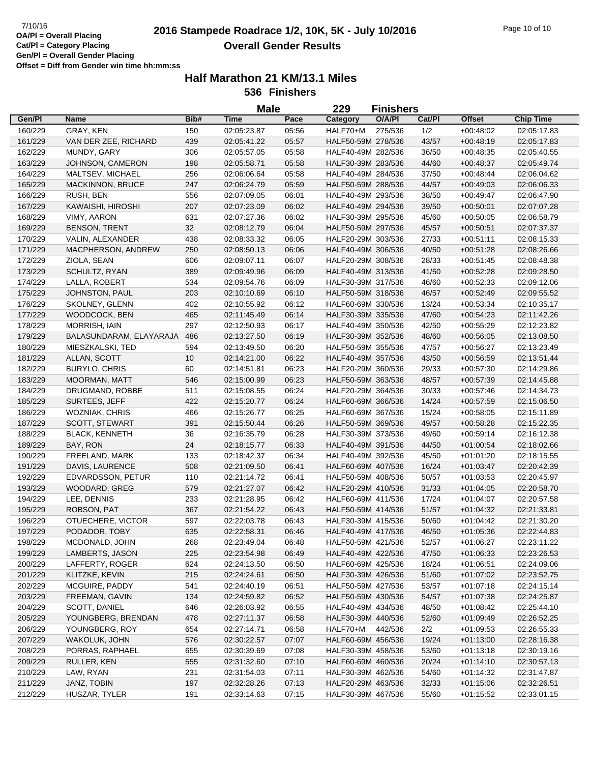# **2016 Stampede Roadrace 1/2, 10K, 5K - July 10/2016** Page 10 of 10 **Overall Gender Results**

|         |                         |      | <b>Male</b> |       | 229                | <b>Finishers</b> |        |               |                  |
|---------|-------------------------|------|-------------|-------|--------------------|------------------|--------|---------------|------------------|
| Gen/Pl  | <b>Name</b>             | Bib# | Time        | Pace  | Category           | O/A/PI           | Cat/Pl | <b>Offset</b> | <b>Chip Time</b> |
| 160/229 | GRAY, KEN               | 150  | 02:05:23.87 | 05:56 | HALF70+M           | 275/536          | 1/2    | $+00.48:02$   | 02:05:17.83      |
| 161/229 | VAN DER ZEE, RICHARD    | 439  | 02:05:41.22 | 05:57 | HALF50-59M 278/536 |                  | 43/57  | $+00.48:19$   | 02:05:17.83      |
| 162/229 | MUNDY, GARY             | 306  | 02:05:57.05 | 05:58 | HALF40-49M 282/536 |                  | 36/50  | $+00:48:35$   | 02:05:40.55      |
| 163/229 | JOHNSON, CAMERON        | 198  | 02:05:58.71 | 05:58 | HALF30-39M 283/536 |                  | 44/60  | $+00:48:37$   | 02:05:49.74      |
| 164/229 | MALTSEV, MICHAEL        | 256  | 02:06:06.64 | 05:58 | HALF40-49M 284/536 |                  | 37/50  | $+00:48:44$   | 02:06:04.62      |
| 165/229 | <b>MACKINNON, BRUCE</b> | 247  | 02:06:24.79 | 05:59 | HALF50-59M 288/536 |                  | 44/57  | $+00:49:03$   | 02:06:06.33      |
| 166/229 | RUSH, BEN               | 556  | 02:07:09.05 | 06:01 | HALF40-49M 293/536 |                  | 38/50  | $+00:49:47$   | 02:06:47.90      |
| 167/229 | KAWAISHI, HIROSHI       | 207  | 02:07:23.09 | 06:02 | HALF40-49M 294/536 |                  | 39/50  | $+00:50:01$   | 02:07:07.28      |
| 168/229 | VIMY, AARON             | 631  | 02:07:27.36 | 06:02 | HALF30-39M 295/536 |                  | 45/60  | $+00:50:05$   | 02:06:58.79      |
| 169/229 | <b>BENSON, TRENT</b>    | 32   | 02:08:12.79 | 06:04 | HALF50-59M 297/536 |                  | 45/57  | $+00:50:51$   | 02:07:37.37      |
| 170/229 | VALIN, ALEXANDER        | 438  | 02:08:33.32 | 06:05 | HALF20-29M 303/536 |                  | 27/33  | $+00:51:11$   | 02:08:15.33      |
| 171/229 | MACPHERSON, ANDREW      | 250  | 02:08:50.13 | 06:06 | HALF40-49M 306/536 |                  | 40/50  | $+00:51:28$   | 02:08:26.66      |
| 172/229 | ZIOLA, SEAN             | 606  | 02:09:07.11 | 06:07 | HALF20-29M 308/536 |                  | 28/33  | $+00:51:45$   | 02:08:48.38      |
| 173/229 | SCHULTZ, RYAN           | 389  | 02:09:49.96 | 06:09 | HALF40-49M 313/536 |                  | 41/50  | $+00:52:28$   | 02:09:28.50      |
| 174/229 | LALLA, ROBERT           | 534  | 02:09:54.76 | 06:09 | HALF30-39M 317/536 |                  | 46/60  | $+00:52:33$   | 02:09:12.06      |
| 175/229 | JOHNSTON, PAUL          | 203  | 02:10:10.69 | 06:10 | HALF50-59M 318/536 |                  | 46/57  | $+00:52:49$   | 02:09:55.52      |
| 176/229 | SKOLNEY, GLENN          | 402  | 02:10:55.92 | 06:12 | HALF60-69M 330/536 |                  | 13/24  | $+00:53:34$   | 02:10:35.17      |
| 177/229 | WOODCOCK, BEN           | 465  | 02:11:45.49 | 06:14 | HALF30-39M 335/536 |                  | 47/60  | $+00:54:23$   | 02:11:42.26      |
| 178/229 | <b>MORRISH, IAIN</b>    | 297  | 02:12:50.93 | 06:17 | HALF40-49M 350/536 |                  | 42/50  | $+00:55:29$   | 02:12:23.82      |
|         |                         |      |             |       |                    |                  |        |               |                  |
| 179/229 | BALASUNDARAM, ELAYARAJA | 486  | 02:13:27.50 | 06:19 | HALF30-39M 352/536 |                  | 48/60  | $+00:56:05$   | 02:13:08.50      |
| 180/229 | MIESZKALSKI, TED        | 594  | 02:13:49.50 | 06:20 | HALF50-59M 355/536 |                  | 47/57  | $+00:56:27$   | 02:13:23.49      |
| 181/229 | ALLAN, SCOTT            | 10   | 02:14:21.00 | 06:22 | HALF40-49M 357/536 |                  | 43/50  | $+00:56:59$   | 02:13:51.44      |
| 182/229 | <b>BURYLO, CHRIS</b>    | 60   | 02:14:51.81 | 06:23 | HALF20-29M 360/536 |                  | 29/33  | $+00:57:30$   | 02:14:29.86      |
| 183/229 | <b>MOORMAN, MATT</b>    | 546  | 02:15:00.99 | 06:23 | HALF50-59M 363/536 |                  | 48/57  | $+00:57:39$   | 02:14:45.88      |
| 184/229 | DRUGMAND, ROBBE         | 511  | 02:15:08.55 | 06:24 | HALF20-29M 364/536 |                  | 30/33  | $+00:57:46$   | 02:14:34.73      |
| 185/229 | SURTEES, JEFF           | 422  | 02:15:20.77 | 06:24 | HALF60-69M 366/536 |                  | 14/24  | $+00:57:59$   | 02:15:06.50      |
| 186/229 | WOZNIAK, CHRIS          | 466  | 02:15:26.77 | 06:25 | HALF60-69M 367/536 |                  | 15/24  | $+00:58:05$   | 02:15:11.89      |
| 187/229 | <b>SCOTT, STEWART</b>   | 391  | 02:15:50.44 | 06:26 | HALF50-59M 369/536 |                  | 49/57  | $+00:58:28$   | 02:15:22.35      |
| 188/229 | <b>BLACK, KENNETH</b>   | 36   | 02:16:35.79 | 06:28 | HALF30-39M 373/536 |                  | 49/60  | $+00:59:14$   | 02:16:12.38      |
| 189/229 | BAY, RON                | 24   | 02:18:15.77 | 06:33 | HALF40-49M 391/536 |                  | 44/50  | $+01:00:54$   | 02:18:02.66      |
| 190/229 | FREELAND, MARK          | 133  | 02:18:42.37 | 06:34 | HALF40-49M 392/536 |                  | 45/50  | $+01:01:20$   | 02:18:15.55      |
| 191/229 | DAVIS, LAURENCE         | 508  | 02:21:09.50 | 06:41 | HALF60-69M 407/536 |                  | 16/24  | $+01:03:47$   | 02:20:42.39      |
| 192/229 | EDVARDSSON, PETUR       | 110  | 02:21:14.72 | 06:41 | HALF50-59M 408/536 |                  | 50/57  | $+01:03:53$   | 02:20:45.97      |
| 193/229 | WOODARD, GREG           | 579  | 02:21:27.07 | 06:42 | HALF20-29M 410/536 |                  | 31/33  | $+01:04:05$   | 02:20:58.70      |
| 194/229 | LEE, DENNIS             | 233  | 02:21:28.95 | 06:42 | HALF60-69M 411/536 |                  | 17/24  | $+01:04:07$   | 02:20:57.58      |
| 195/229 | ROBSON, PAT             | 367  | 02:21:54.22 | 06:43 | HALF50-59M 414/536 |                  | 51/57  | $+01:04:32$   | 02:21:33.81      |
| 196/229 | OTUECHERE, VICTOR       | 597  | 02:22:03.78 | 06:43 | HALF30-39M 415/536 |                  | 50/60  | $+01:04:42$   | 02:21:30.20      |
| 197/229 | PODADOR, TOBY           | 635  | 02:22:58.31 | 06:46 | HALF40-49M 417/536 |                  | 46/50  | $+01:05:36$   | 02:22:44.83      |
| 198/229 | MCDONALD, JOHN          | 268  | 02:23:49.04 | 06:48 | HALF50-59M 421/536 |                  | 52/57  | $+01:06:27$   | 02:23:11.22      |
| 199/229 | LAMBERTS, JASON         | 225  | 02:23:54.98 | 06:49 | HALF40-49M 422/536 |                  | 47/50  | $+01:06:33$   | 02:23:26.53      |
| 200/229 | LAFFERTY, ROGER         | 624  | 02:24:13.50 | 06:50 | HALF60-69M 425/536 |                  | 18/24  | $+01:06:51$   | 02:24:09.06      |
| 201/229 | KLITZKE, KEVIN          | 215  | 02:24:24.61 | 06:50 | HALF30-39M 426/536 |                  | 51/60  | $+01:07:02$   | 02:23:52.75      |
| 202/229 | MCGUIRE, PADDY          | 541  | 02:24:40.19 | 06:51 | HALF50-59M 427/536 |                  | 53/57  | $+01:07:18$   | 02:24:15.14      |
| 203/229 | FREEMAN, GAVIN          | 134  | 02:24:59.82 | 06:52 | HALF50-59M 430/536 |                  | 54/57  | $+01:07:38$   | 02:24:25.87      |
| 204/229 | SCOTT, DANIEL           | 646  | 02:26:03.92 | 06:55 | HALF40-49M 434/536 |                  | 48/50  | $+01:08:42$   | 02:25:44.10      |
| 205/229 | YOUNGBERG, BRENDAN      | 478  | 02:27:11.37 | 06:58 | HALF30-39M 440/536 |                  | 52/60  | $+01:09:49$   | 02:26:52.25      |
| 206/229 | YOUNGBERG, ROY          | 654  | 02:27:14.71 | 06:58 | HALF70+M           | 442/536          | 2/2    | $+01:09:53$   | 02:26:55.33      |
| 207/229 | WAKOLUK, JOHN           | 576  | 02:30:22.57 | 07:07 | HALF60-69M 456/536 |                  | 19/24  | $+01:13:00$   | 02:28:16.38      |
| 208/229 | PORRAS, RAPHAEL         | 655  | 02:30:39.69 | 07:08 | HALF30-39M 458/536 |                  | 53/60  | $+01:13:18$   | 02:30:19.16      |
| 209/229 | RULLER, KEN             | 555  | 02:31:32.60 | 07:10 | HALF60-69M 460/536 |                  | 20/24  | $+01:14:10$   | 02:30:57.13      |
| 210/229 | LAW, RYAN               | 231  | 02:31:54.03 | 07:11 | HALF30-39M 462/536 |                  | 54/60  | $+01:14:32$   | 02:31:47.87      |
| 211/229 | JANZ, TOBIN             | 197  | 02:32:28.26 | 07:13 | HALF20-29M 463/536 |                  | 32/33  | $+01:15:06$   | 02:32:26.51      |
| 212/229 | HUSZAR, TYLER           | 191  | 02:33:14.63 | 07:15 | HALF30-39M 467/536 |                  | 55/60  | $+01:15:52$   | 02:33:01.15      |